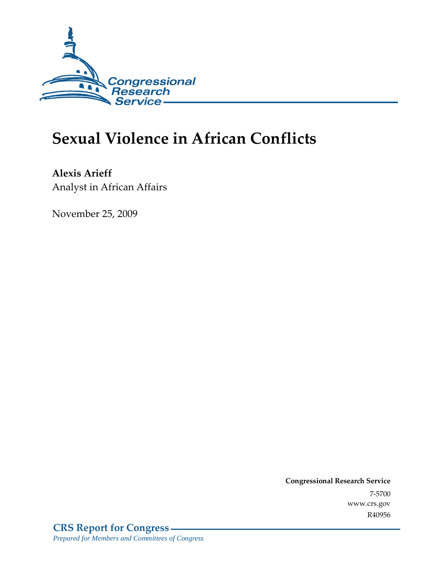

# **Sexual Violence in African Conflicts**

**Alexis Arieff**  Analyst in African Affairs

November 25, 2009

**Congressional Research Service** 7-5700 www.crs.gov R40956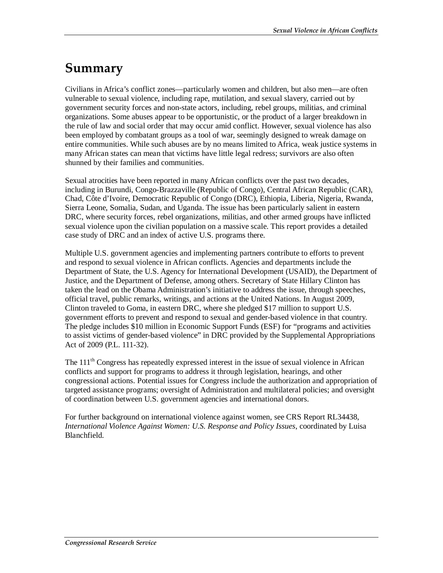## **Summary**

Civilians in Africa's conflict zones—particularly women and children, but also men—are often vulnerable to sexual violence, including rape, mutilation, and sexual slavery, carried out by government security forces and non-state actors, including, rebel groups, militias, and criminal organizations. Some abuses appear to be opportunistic, or the product of a larger breakdown in the rule of law and social order that may occur amid conflict. However, sexual violence has also been employed by combatant groups as a tool of war, seemingly designed to wreak damage on entire communities. While such abuses are by no means limited to Africa, weak justice systems in many African states can mean that victims have little legal redress; survivors are also often shunned by their families and communities.

Sexual atrocities have been reported in many African conflicts over the past two decades, including in Burundi, Congo-Brazzaville (Republic of Congo), Central African Republic (CAR), Chad, Côte d'Ivoire, Democratic Republic of Congo (DRC), Ethiopia, Liberia, Nigeria, Rwanda, Sierra Leone, Somalia, Sudan, and Uganda. The issue has been particularly salient in eastern DRC, where security forces, rebel organizations, militias, and other armed groups have inflicted sexual violence upon the civilian population on a massive scale. This report provides a detailed case study of DRC and an index of active U.S. programs there.

Multiple U.S. government agencies and implementing partners contribute to efforts to prevent and respond to sexual violence in African conflicts. Agencies and departments include the Department of State, the U.S. Agency for International Development (USAID), the Department of Justice, and the Department of Defense, among others. Secretary of State Hillary Clinton has taken the lead on the Obama Administration's initiative to address the issue, through speeches, official travel, public remarks, writings, and actions at the United Nations. In August 2009, Clinton traveled to Goma, in eastern DRC, where she pledged \$17 million to support U.S. government efforts to prevent and respond to sexual and gender-based violence in that country. The pledge includes \$10 million in Economic Support Funds (ESF) for "programs and activities to assist victims of gender-based violence" in DRC provided by the Supplemental Appropriations Act of 2009 (P.L. 111-32).

The  $111<sup>th</sup>$  Congress has repeatedly expressed interest in the issue of sexual violence in African conflicts and support for programs to address it through legislation, hearings, and other congressional actions. Potential issues for Congress include the authorization and appropriation of targeted assistance programs; oversight of Administration and multilateral policies; and oversight of coordination between U.S. government agencies and international donors.

For further background on international violence against women, see CRS Report RL34438, *International Violence Against Women: U.S. Response and Policy Issues*, coordinated by Luisa Blanchfield.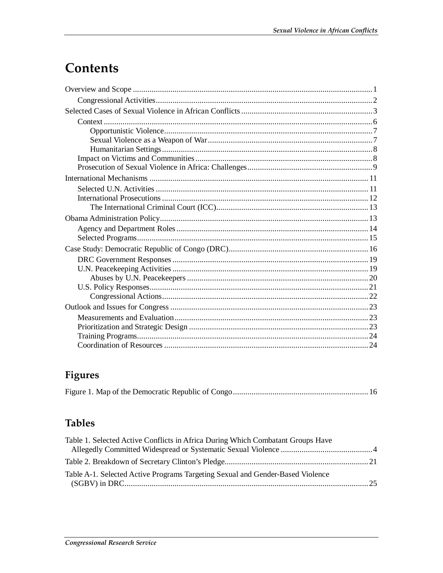## Contents

## Figures

|--|--|--|--|--|--|--|

## **Tables**

| Table A-1. Selected Active Programs Targeting Sexual and Gender-Based Violence |
|--------------------------------------------------------------------------------|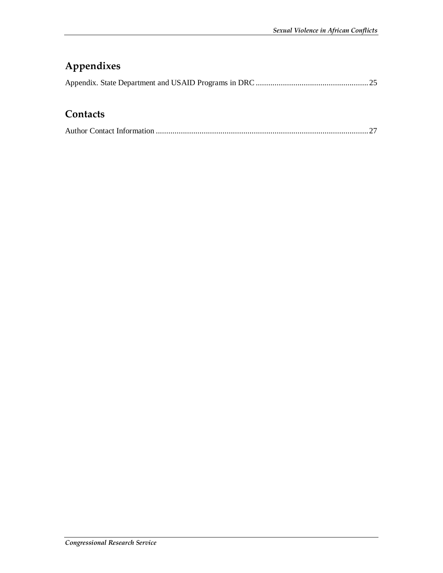## **Appendixes**

## **Contacts**

|--|--|--|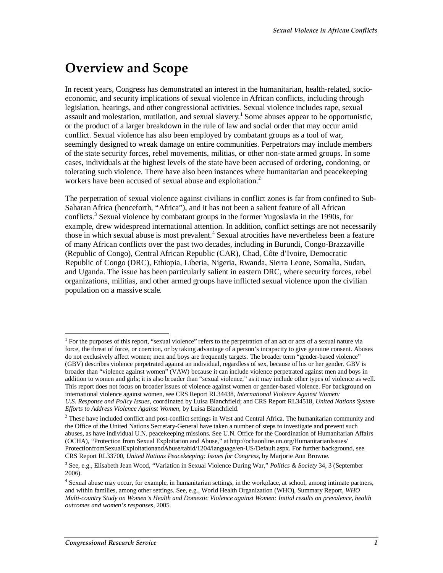## **Overview and Scope**

In recent years, Congress has demonstrated an interest in the humanitarian, health-related, socioeconomic, and security implications of sexual violence in African conflicts, including through legislation, hearings, and other congressional activities. Sexual violence includes rape, sexual assault and molestation, mutilation, and sexual slavery.<sup>1</sup> Some abuses appear to be opportunistic, or the product of a larger breakdown in the rule of law and social order that may occur amid conflict. Sexual violence has also been employed by combatant groups as a tool of war, seemingly designed to wreak damage on entire communities. Perpetrators may include members of the state security forces, rebel movements, militias, or other non-state armed groups. In some cases, individuals at the highest levels of the state have been accused of ordering, condoning, or tolerating such violence. There have also been instances where humanitarian and peacekeeping workers have been accused of sexual abuse and exploitation.<sup>2</sup>

The perpetration of sexual violence against civilians in conflict zones is far from confined to Sub-Saharan Africa (henceforth, "Africa"), and it has not been a salient feature of all African conflicts.<sup>3</sup> Sexual violence by combatant groups in the former Yugoslavia in the 1990s, for example, drew widespread international attention. In addition, conflict settings are not necessarily those in which sexual abuse is most prevalent.<sup>4</sup> Sexual atrocities have nevertheless been a feature of many African conflicts over the past two decades, including in Burundi, Congo-Brazzaville (Republic of Congo), Central African Republic (CAR), Chad, Côte d'Ivoire, Democratic Republic of Congo (DRC), Ethiopia, Liberia, Nigeria, Rwanda, Sierra Leone, Somalia, Sudan, and Uganda. The issue has been particularly salient in eastern DRC, where security forces, rebel organizations, militias, and other armed groups have inflicted sexual violence upon the civilian population on a massive scale.

-

<sup>1</sup> For the purposes of this report, "sexual violence" refers to the perpetration of an act or acts of a sexual nature via force, the threat of force, or coercion, or by taking advantage of a person's incapacity to give genuine consent. Abuses do not exclusively affect women; men and boys are frequently targets. The broader term "gender-based violence" (GBV) describes violence perpetrated against an individual, regardless of sex, because of his or her gender. GBV is broader than "violence against women" (VAW) because it can include violence perpetrated against men and boys in addition to women and girls; it is also broader than "sexual violence," as it may include other types of violence as well. This report does not focus on broader issues of violence against women or gender-based violence. For background on international violence against women, see CRS Report RL34438, *International Violence Against Women: U.S. Response and Policy Issues*, coordinated by Luisa Blanchfield; and CRS Report RL34518, *United Nations System* 

*Efforts to Address Violence Against Women*, by Luisa Blanchfield.

 $2$  These have included conflict and post-conflict settings in West and Central Africa. The humanitarian community and the Office of the United Nations Secretary-General have taken a number of steps to investigate and prevent such abuses, as have individual U.N. peacekeeping missions. See U.N. Office for the Coordination of Humanitarian Affairs (OCHA), "Protection from Sexual Exploitation and Abuse," at http://ochaonline.un.org/HumanitarianIssues/ ProtectionfromSexualExploitationandAbuse/tabid/1204/language/en-US/Default.aspx. For further background, see CRS Report RL33700, *United Nations Peacekeeping: Issues for Congress*, by Marjorie Ann Browne.

<sup>3</sup> See, e.g., Elisabeth Jean Wood, "Variation in Sexual Violence During War," *Politics & Society* 34, 3 (September 2006).

<sup>&</sup>lt;sup>4</sup> Sexual abuse may occur, for example, in humanitarian settings, in the workplace, at school, among intimate partners, and within families, among other settings. See, e.g., World Health Organization (WHO), Summary Report, *WHO Multi-country Study on Women's Health and Domestic Violence against Women: Initial results on prevalence, health outcomes and women's responses*, 2005.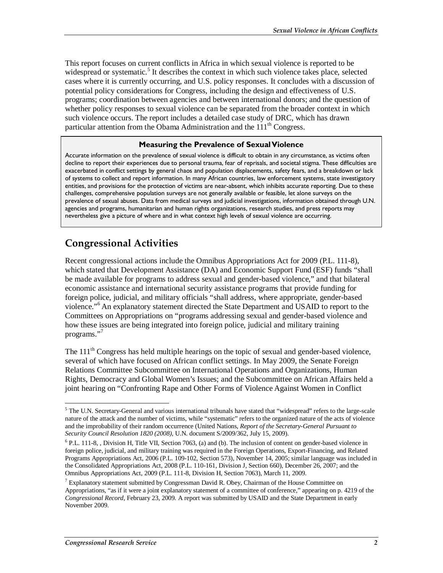This report focuses on current conflicts in Africa in which sexual violence is reported to be widespread or systematic.<sup>5</sup> It describes the context in which such violence takes place, selected cases where it is currently occurring, and U.S. policy responses. It concludes with a discussion of potential policy considerations for Congress, including the design and effectiveness of U.S. programs; coordination between agencies and between international donors; and the question of whether policy responses to sexual violence can be separated from the broader context in which such violence occurs. The report includes a detailed case study of DRC, which has drawn particular attention from the Obama Administration and the  $111<sup>th</sup>$  Congress.

#### **Measuring the Prevalence of Sexual Violence**

Accurate information on the prevalence of sexual violence is difficult to obtain in any circumstance, as victims often decline to report their experiences due to personal trauma, fear of reprisals, and societal stigma. These difficulties are exacerbated in conflict settings by general chaos and population displacements, safety fears, and a breakdown or lack of systems to collect and report information. In many African countries, law enforcement systems, state investigatory entities, and provisions for the protection of victims are near-absent, which inhibits accurate reporting. Due to these challenges, comprehensive population surveys are not generally available or feasible, let alone surveys on the prevalence of sexual abuses. Data from medical surveys and judicial investigations, information obtained through U.N. agencies and programs, humanitarian and human rights organizations, research studies, and press reports may nevertheless give a picture of where and in what context high levels of sexual violence are occurring.

#### **Congressional Activities**

Recent congressional actions include the Omnibus Appropriations Act for 2009 (P.L. 111-8), which stated that Development Assistance (DA) and Economic Support Fund (ESF) funds "shall be made available for programs to address sexual and gender-based violence," and that bilateral economic assistance and international security assistance programs that provide funding for foreign police, judicial, and military officials "shall address, where appropriate, gender-based violence."<sup>6</sup> An explanatory statement directed the State Department and USAID to report to the Committees on Appropriations on "programs addressing sexual and gender-based violence and how these issues are being integrated into foreign police, judicial and military training programs."<sup>7</sup>

The 111<sup>th</sup> Congress has held multiple hearings on the topic of sexual and gender-based violence, several of which have focused on African conflict settings. In May 2009, the Senate Foreign Relations Committee Subcommittee on International Operations and Organizations, Human Rights, Democracy and Global Women's Issues; and the Subcommittee on African Affairs held a joint hearing on "Confronting Rape and Other Forms of Violence Against Women in Conflict

The U.N. Secretary-General and various international tribunals have stated that "widespread" refers to the large-scale<br>The U.N. Secretary-General and various international tribunals have stated that "widespread" refers to nature of the attack and the number of victims, while "systematic" refers to the organized nature of the acts of violence and the improbability of their random occurrence (United Nations, *Report of the Secretary-General Pursuant to Security Council Resolution 1820 (2008)*, U.N. document S/2009/362, July 15, 2009).

<sup>&</sup>lt;sup>6</sup> P.L. 111-8, , Division H, Title VII, Section 7063, (a) and (b). The inclusion of content on gender-based violence in foreign police, judicial, and military training was required in the Foreign Operations, Export-Financing, and Related Programs Appropriations Act, 2006 (P.L. 109-102, Section 573), November 14, 2005; similar language was included in the Consolidated Appropriations Act, 2008 (P.L. 110-161, Division J, Section 660), December 26, 2007; and the Omnibus Appropriations Act, 2009 (P.L. 111-8, Division H, Section 7063), March 11, 2009.

<sup>&</sup>lt;sup>7</sup> Explanatory statement submitted by Congressman David R. Obey, Chairman of the House Committee on Appropriations, "as if it were a joint explanatory statement of a committee of conference," appearing on p. 4219 of the *Congressional Record*, February 23, 2009. A report was submitted by USAID and the State Department in early November 2009.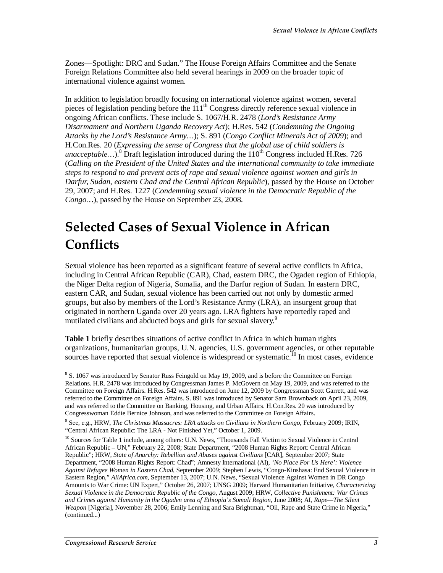Zones—Spotlight: DRC and Sudan." The House Foreign Affairs Committee and the Senate Foreign Relations Committee also held several hearings in 2009 on the broader topic of international violence against women.

In addition to legislation broadly focusing on international violence against women, several pieces of legislation pending before the 111<sup>th</sup> Congress directly reference sexual violence in ongoing African conflicts. These include S. 1067/H.R. 2478 (*Lord's Resistance Army Disarmament and Northern Uganda Recovery Act*); H.Res. 542 (*Condemning the Ongoing Attacks by the Lord's Resistance Army…*); S. 891 (*Congo Conflict Minerals Act of 2009*); and H.Con.Res. 20 (*Expressing the sense of Congress that the global use of child soldiers is*  unacceptable...).<sup>8</sup> Draft legislation introduced during the 110<sup>th</sup> Congress included H.Res. 726 (*Calling on the President of the United States and the international community to take immediate steps to respond to and prevent acts of rape and sexual violence against women and girls in Darfur, Sudan, eastern Chad and the Central African Republic*), passed by the House on October 29, 2007; and H.Res. 1227 (*Condemning sexual violence in the Democratic Republic of the Congo…*), passed by the House on September 23, 2008.

## **Selected Cases of Sexual Violence in African Conflicts**

Sexual violence has been reported as a significant feature of several active conflicts in Africa, including in Central African Republic (CAR), Chad, eastern DRC, the Ogaden region of Ethiopia, the Niger Delta region of Nigeria, Somalia, and the Darfur region of Sudan. In eastern DRC, eastern CAR, and Sudan, sexual violence has been carried out not only by domestic armed groups, but also by members of the Lord's Resistance Army (LRA), an insurgent group that originated in northern Uganda over 20 years ago. LRA fighters have reportedly raped and mutilated civilians and abducted boys and girls for sexual slavery.<sup>9</sup>

**Table 1** briefly describes situations of active conflict in Africa in which human rights organizations, humanitarian groups, U.N. agencies, U.S. government agencies, or other reputable sources have reported that sexual violence is widespread or systematic.<sup>10</sup> In most cases, evidence

<sup>&</sup>lt;sup>8</sup> S. 1067 was introduced by Senator Russ Feingold on May 19, 2009, and is before the Committee on Foreign Relations. H.R. 2478 was introduced by Congressman James P. McGovern on May 19, 2009, and was referred to the Committee on Foreign Affairs. H.Res. 542 was introduced on June 12, 2009 by Congressman Scott Garrett, and was referred to the Committee on Foreign Affairs. S. 891 was introduced by Senator Sam Brownback on April 23, 2009, and was referred to the Committee on Banking, Housing, and Urban Affairs. H.Con.Res. 20 was introduced by Congresswoman Eddie Bernice Johnson, and was referred to the Committee on Foreign Affairs.

<sup>9</sup> See, e.g., HRW, *The Christmas Massacres: LRA attacks on Civilians in Northern Congo*, February 2009; IRIN, "Central African Republic: The LRA - Not Finished Yet," October 1, 2009.

<sup>&</sup>lt;sup>10</sup> Sources for Table 1 include, among others: U.N. News, "Thousands Fall Victim to Sexual Violence in Central African Republic – UN," February 22, 2008; State Department, "2008 Human Rights Report: Central African Republic"; HRW, *State of Anarchy: Rebellion and Abuses against Civilians* [CAR], September 2007; State Department, "2008 Human Rights Report: Chad"; Amnesty International (AI), *'No Place For Us Here': Violence Against Refugee Women in Eastern Chad*, September 2009; Stephen Lewis, "Congo-Kinshasa: End Sexual Violence in Eastern Region," *AllAfrica.com*, September 13, 2007; U.N. News, "Sexual Violence Against Women in DR Congo Amounts to War Crime: UN Expert," October 26, 2007; UNSG 2009; Harvard Humanitarian Initiative, *Characterizing Sexual Violence in the Democratic Republic of the Congo*, August 2009; HRW, *Collective Punishment: War Crimes and Crimes against Humanity in the Ogaden area of Ethiopia's Somali Region*, June 2008; AI, *Rape—The Silent Weapon* [Nigeria], November 28, 2006; Emily Lenning and Sara Brightman, "Oil, Rape and State Crime in Nigeria," (continued...)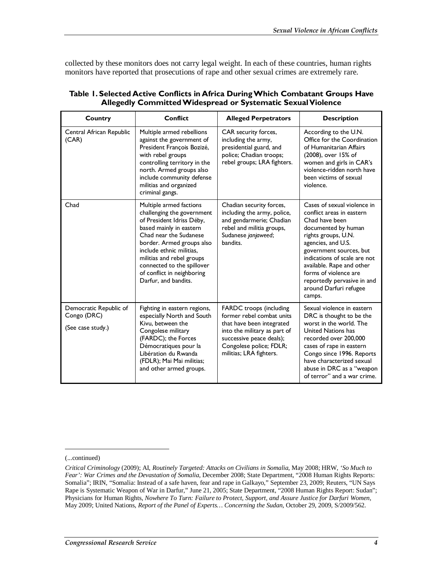collected by these monitors does not carry legal weight. In each of these countries, human rights monitors have reported that prosecutions of rape and other sexual crimes are extremely rare.

| Country                                                    | <b>Conflict</b>                                                                                                                                                                                                                                                                                                   | <b>Alleged Perpetrators</b>                                                                                                                                                                         | <b>Description</b>                                                                                                                                                                                                                                                                                                                 |
|------------------------------------------------------------|-------------------------------------------------------------------------------------------------------------------------------------------------------------------------------------------------------------------------------------------------------------------------------------------------------------------|-----------------------------------------------------------------------------------------------------------------------------------------------------------------------------------------------------|------------------------------------------------------------------------------------------------------------------------------------------------------------------------------------------------------------------------------------------------------------------------------------------------------------------------------------|
| Central African Republic<br>(CAR)                          | Multiple armed rebellions<br>against the government of<br>President François Bozizé,<br>with rebel groups<br>controlling territory in the<br>north. Armed groups also<br>include community defense<br>militias and organized<br>criminal gangs.                                                                   | CAR security forces,<br>including the army,<br>presidential guard, and<br>police; Chadian troops;<br>rebel groups; LRA fighters.                                                                    | According to the U.N.<br>Office for the Coordination<br>of Humanitarian Affairs<br>(2008), over 15% of<br>women and girls in CAR's<br>violence-ridden north have<br>been victims of sexual<br>violence.                                                                                                                            |
| Chad                                                       | Multiple armed factions<br>challenging the government<br>of President Idriss Déby,<br>based mainly in eastern<br>Chad near the Sudanese<br>border. Armed groups also<br>include ethnic militias.<br>militias and rebel groups<br>connected to the spillover<br>of conflict in neighboring<br>Darfur, and bandits. | Chadian security forces,<br>including the army, police,<br>and gendarmerie; Chadian<br>rebel and militia groups,<br>Sudanese janjaweed;<br>bandits.                                                 | Cases of sexual violence in<br>conflict areas in eastern<br>Chad have been<br>documented by human<br>rights groups, U.N.<br>agencies, and U.S.<br>government sources, but<br>indications of scale are not<br>available. Rape and other<br>forms of violence are<br>reportedly pervasive in and<br>around Darfuri refugee<br>camps. |
| Democratic Republic of<br>Congo (DRC)<br>(See case study.) | Fighting in eastern regions,<br>especially North and South<br>Kivu, between the<br>Congolese military<br>(FARDC); the Forces<br>Démocratiques pour la<br>Libération du Rwanda<br>(FDLR); Mai Mai militias;<br>and other armed groups.                                                                             | FARDC troops (including<br>former rebel combat units<br>that have been integrated<br>into the military as part of<br>successive peace deals);<br>Congolese police; FDLR;<br>militias; LRA fighters. | Sexual violence in eastern<br>DRC is thought to be the<br>worst in the world. The<br>United Nations has<br>recorded over 200,000<br>cases of rape in eastern<br>Congo since 1996. Reports<br>have characterized sexual<br>abuse in DRC as a "weapon"<br>of terror" and a war crime.                                                |

#### **Table 1. Selected Active Conflicts in Africa During Which Combatant Groups Have Allegedly Committed Widespread or Systematic Sexual Violence**

1

<sup>(...</sup>continued)

*Critical Criminology* (2009); AI, *Routinely Targeted: Attacks on Civilians in Somalia*, May 2008; HRW, *'So Much to Fear': War Crimes and the Devastation of Somalia*, December 2008; State Department, "2008 Human Rights Reports: Somalia"; IRIN, "Somalia: Instead of a safe haven, fear and rape in Galkayo," September 23, 2009; Reuters, "UN Says Rape is Systematic Weapon of War in Darfur," June 21, 2005; State Department, "2008 Human Rights Report: Sudan"; Physicians for Human Rights, *Nowhere To Turn: Failure to Protect, Support, and Assure Justice for Darfuri Women*, May 2009; United Nations, *Report of the Panel of Experts… Concerning the Sudan*, October 29, 2009, S/2009/562.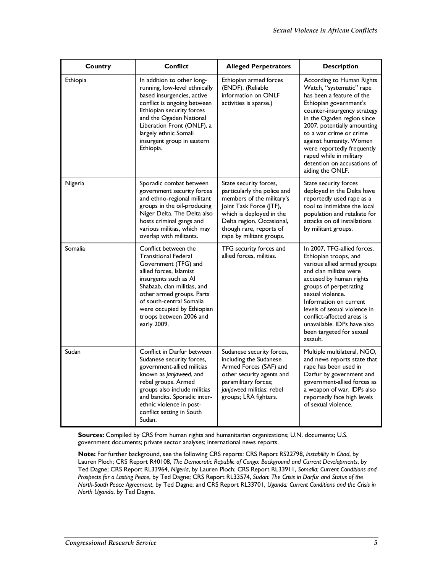| Country  | Conflict                                                                                                                                                                                                                                                                                        | <b>Alleged Perpetrators</b>                                                                                                                                                                                                   | <b>Description</b>                                                                                                                                                                                                                                                                                                                                                         |
|----------|-------------------------------------------------------------------------------------------------------------------------------------------------------------------------------------------------------------------------------------------------------------------------------------------------|-------------------------------------------------------------------------------------------------------------------------------------------------------------------------------------------------------------------------------|----------------------------------------------------------------------------------------------------------------------------------------------------------------------------------------------------------------------------------------------------------------------------------------------------------------------------------------------------------------------------|
| Ethiopia | In addition to other long-<br>running, low-level ethnically<br>based insurgencies, active<br>conflict is ongoing between<br>Ethiopian security forces<br>and the Ogaden National<br>Liberation Front (ONLF), a<br>largely ethnic Somali<br>insurgent group in eastern<br>Ethiopia.              | Ethiopian armed forces<br>(ENDF). (Reliable<br>information on ONLF<br>activities is sparse.)                                                                                                                                  | According to Human Rights<br>Watch, "systematic" rape<br>has been a feature of the<br>Ethiopian government's<br>counter-insurgency strategy<br>in the Ogaden region since<br>2007, potentially amounting<br>to a war crime or crime<br>against humanity. Women<br>were reportedly frequently<br>raped while in military<br>detention on accusations of<br>aiding the ONLF. |
| Nigeria  | Sporadic combat between<br>government security forces<br>and ethno-regional militant<br>groups in the oil-producing<br>Niger Delta. The Delta also<br>hosts criminal gangs and<br>various militias, which may<br>overlap with militants.                                                        | State security forces,<br>particularly the police and<br>members of the military's<br>Joint Task Force (JTF),<br>which is deployed in the<br>Delta region. Occasional,<br>though rare, reports of<br>rape by militant groups. | State security forces<br>deployed in the Delta have<br>reportedly used rape as a<br>tool to intimidate the local<br>population and retaliate for<br>attacks on oil installations<br>by militant groups.                                                                                                                                                                    |
| Somalia  | Conflict between the<br><b>Transitional Federal</b><br>Government (TFG) and<br>allied forces, Islamist<br>insurgents such as Al<br>Shabaab, clan militias, and<br>other armed groups. Parts<br>of south-central Somalia<br>were occupied by Ethiopian<br>troops between 2006 and<br>early 2009. | TFG security forces and<br>allied forces, militias.                                                                                                                                                                           | In 2007, TFG-allied forces,<br>Ethiopian troops, and<br>various allied armed groups<br>and clan militias were<br>accused by human rights<br>groups of perpetrating<br>sexual violence.<br>Information on current<br>levels of sexual violence in<br>conflict-affected areas is<br>unavailable. IDPs have also<br>been targeted for sexual<br>assault.                      |
| Sudan    | Conflict in Darfur between<br>Sudanese security forces,<br>government-allied militias<br>known as janjaweed, and<br>rebel groups. Armed<br>groups also include militias<br>and bandits. Sporadic inter-<br>ethnic violence in post-<br>conflict setting in South<br>Sudan.                      | Sudanese security forces,<br>including the Sudanese<br>Armed Forces (SAF) and<br>other security agents and<br>paramilitary forces;<br>janjaweed militias; rebel<br>groups; LRA fighters.                                      | Multiple multilateral, NGO,<br>and news reports state that<br>rape has been used in<br>Darfur by government and<br>government-allied forces as<br>a weapon of war. IDPs also<br>reportedly face high levels<br>of sexual violence.                                                                                                                                         |

**Sources:** Compiled by CRS from human rights and humanitarian organizations; U.N. documents; U.S. government documents; private sector analyses; international news reports.

**Note:** For further background, see the following CRS reports: CRS Report RS22798, *Instability in Chad*, by Lauren Ploch; CRS Report R40108, *The Democratic Republic of Congo: Background and Current Developments*, by Ted Dagne; CRS Report RL33964, *Nigeria*, by Lauren Ploch; CRS Report RL33911, *Somalia: Current Conditions and Prospects for a Lasting Peace*, by Ted Dagne; CRS Report RL33574, *Sudan: The Crisis in Darfur and Status of the North-South Peace Agreement*, by Ted Dagne; and CRS Report RL33701, *Uganda: Current Conditions and the Crisis in North Uganda*, by Ted Dagne.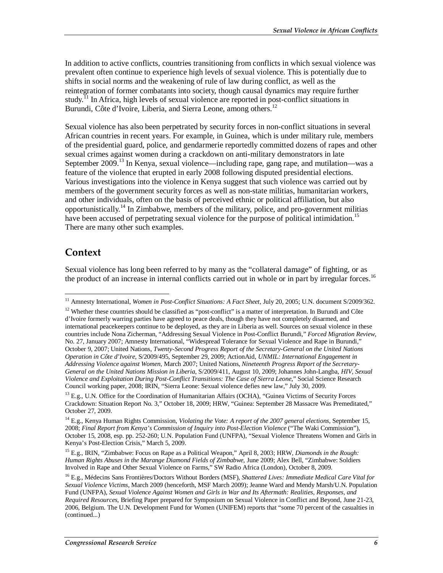In addition to active conflicts, countries transitioning from conflicts in which sexual violence was prevalent often continue to experience high levels of sexual violence. This is potentially due to shifts in social norms and the weakening of rule of law during conflict, as well as the reintegration of former combatants into society, though causal dynamics may require further study.<sup>11</sup> In Africa, high levels of sexual violence are reported in post-conflict situations in Burundi, Côte d'Ivoire, Liberia, and Sierra Leone, among others.<sup>12</sup>

Sexual violence has also been perpetrated by security forces in non-conflict situations in several African countries in recent years. For example, in Guinea, which is under military rule, members of the presidential guard, police, and gendarmerie reportedly committed dozens of rapes and other sexual crimes against women during a crackdown on anti-military demonstrators in late September 2009.<sup>13</sup> In Kenya, sexual violence—including rape, gang rape, and mutilation—was a feature of the violence that erupted in early 2008 following disputed presidential elections. Various investigations into the violence in Kenya suggest that such violence was carried out by members of the government security forces as well as non-state militias, humanitarian workers, and other individuals, often on the basis of perceived ethnic or political affiliation, but also opportunistically.<sup>14</sup> In Zimbabwe, members of the military, police, and pro-government militias have been accused of perpetrating sexual violence for the purpose of political intimidation.<sup>15</sup> There are many other such examples.

## **Context**

Sexual violence has long been referred to by many as the "collateral damage" of fighting, or as the product of an increase in internal conflicts carried out in whole or in part by irregular forces.<sup>16</sup>

15 E.g., IRIN, "Zimbabwe: Focus on Rape as a Political Weapon," April 8, 2003; HRW, *Diamonds in the Rough: Human Rights Abuses in the Marange Diamond Fields of Zimbabwe*, June 2009; Alex Bell, "Zimbabwe: Soldiers Involved in Rape and Other Sexual Violence on Farms," SW Radio Africa (London), October 8, 2009.

<sup>&</sup>lt;u>.</u> <sup>11</sup> Amnesty International, *Women in Post-Conflict Situations: A Fact Sheet*, July 20, 2005; U.N. document S/2009/362.

 $12$  Whether these countries should be classified as "post-conflict" is a matter of interpretation. In Burundi and Côte d'Ivoire formerly warring parties have agreed to peace deals, though they have not completely disarmed, and international peacekeepers continue to be deployed, as they are in Liberia as well. Sources on sexual violence in these countries include Nona Zicherman, "Addressing Sexual Violence in Post-Conflict Burundi," *Forced Migration Review*, No. 27, January 2007; Amnesty International, "Widespread Tolerance for Sexual Violence and Rape in Burundi," October 9, 2007; United Nations, *Twenty-Second Progress Report of the Secretary-General on the United Nations Operation in Côte d'Ivoire*, S/2009/495, September 29, 2009; ActionAid, *UNMIL: International Engagement in Addressing Violence against Women*, March 2007; United Nations, *Nineteenth Progress Report of the Secretary-General on the United Nations Mission in Liberia*, S/2009/411, August 10, 2009; Johannes John-Langba, *HIV, Sexual Violence and Exploitation During Post-Conflict Transitions: The Case of Sierra Leone*," Social Science Research Council working paper, 2008; IRIN, "Sierra Leone: Sexual violence defies new law," July 30, 2009.

 $13$  E.g., U.N. Office for the Coordination of Humanitarian Affairs (OCHA), "Guinea Victims of Security Forces Crackdown: Situation Report No. 3," October 18, 2009; HRW, "Guinea: September 28 Massacre Was Premeditated," October 27, 2009.

<sup>&</sup>lt;sup>14</sup> E.g., Kenya Human Rights Commission, *Violating the Vote: A report of the 2007 general elections*, September 15, 2008; *Final Report from Kenya's Commission of Inquiry into Post-Election Violence* ("The Waki Commission"), October 15, 2008, esp. pp. 252-260; U.N. Population Fund (UNFPA), "Sexual Violence Threatens Women and Girls in Kenya's Post-Election Crisis," March 5, 2009.

<sup>16</sup> E.g., Médecins Sans Frontières/Doctors Without Borders (MSF), *Shattered Lives: Immediate Medical Care Vital for Sexual Violence Victims*, March 2009 (henceforth, MSF March 2009); Jeanne Ward and Mendy Marsh/U.N. Population Fund (UNFPA), *Sexual Violence Against Women and Girls in War and Its Aftermath: Realities, Responses, and Required Resources*, Briefing Paper prepared for Symposium on Sexual Violence in Conflict and Beyond, June 21-23, 2006, Belgium. The U.N. Development Fund for Women (UNIFEM) reports that "some 70 percent of the casualties in (continued...)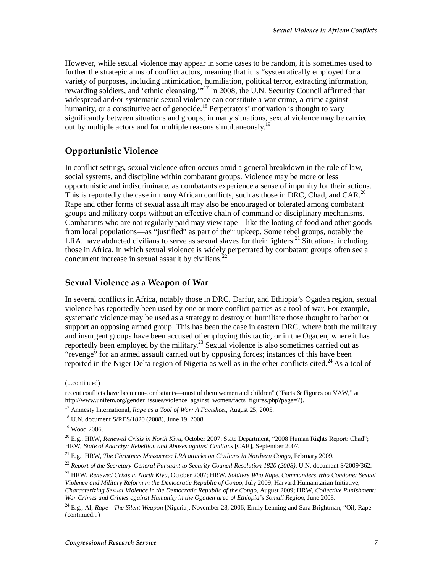However, while sexual violence may appear in some cases to be random, it is sometimes used to further the strategic aims of conflict actors, meaning that it is "systematically employed for a variety of purposes, including intimidation, humiliation, political terror, extracting information, rewarding soldiers, and 'ethnic cleansing.'"<sup>17</sup> In 2008, the U.N. Security Council affirmed that widespread and/or systematic sexual violence can constitute a war crime, a crime against humanity, or a constitutive act of genocide.<sup>18</sup> Perpetrators' motivation is thought to vary significantly between situations and groups; in many situations, sexual violence may be carried out by multiple actors and for multiple reasons simultaneously.<sup>19</sup>

#### **Opportunistic Violence**

In conflict settings, sexual violence often occurs amid a general breakdown in the rule of law, social systems, and discipline within combatant groups. Violence may be more or less opportunistic and indiscriminate, as combatants experience a sense of impunity for their actions. This is reportedly the case in many African conflicts, such as those in DRC, Chad, and CAR.<sup>20</sup> Rape and other forms of sexual assault may also be encouraged or tolerated among combatant groups and military corps without an effective chain of command or disciplinary mechanisms. Combatants who are not regularly paid may view rape—like the looting of food and other goods from local populations—as "justified" as part of their upkeep. Some rebel groups, notably the LRA, have abducted civilians to serve as sexual slaves for their fighters.<sup>21</sup> Situations, including those in Africa, in which sexual violence is widely perpetrated by combatant groups often see a concurrent increase in sexual assault by civilians. $22$ 

#### **Sexual Violence as a Weapon of War**

In several conflicts in Africa, notably those in DRC, Darfur, and Ethiopia's Ogaden region, sexual violence has reportedly been used by one or more conflict parties as a tool of war. For example, systematic violence may be used as a strategy to destroy or humiliate those thought to harbor or support an opposing armed group. This has been the case in eastern DRC, where both the military and insurgent groups have been accused of employing this tactic, or in the Ogaden, where it has reportedly been employed by the military.<sup>23</sup> Sexual violence is also sometimes carried out as "revenge" for an armed assault carried out by opposing forces; instances of this have been reported in the Niger Delta region of Nigeria as well as in the other conflicts cited.<sup>24</sup> As a tool of

1

<sup>(...</sup>continued)

recent conflicts have been non-combatants—most of them women and children" ("Facts & Figures on VAW," at http://www.unifem.org/gender\_issues/violence\_against\_women/facts\_figures.php?page=7).

<sup>17</sup> Amnesty International, *Rape as a Tool of War: A Factsheet*, August 25, 2005.

<sup>18</sup> U.N. document S/RES/1820 (2008), June 19, 2008.

<sup>19</sup> Wood 2006.

<sup>20</sup> E.g., HRW, *Renewed Crisis in North Kivu*, October 2007; State Department, "2008 Human Rights Report: Chad"; HRW, *State of Anarchy: Rebellion and Abuses against Civilians* [CAR], September 2007.

<sup>21</sup> E.g., HRW, *The Christmas Massacres: LRA attacks on Civilians in Northern Congo*, February 2009.

<sup>22</sup> *Report of the Secretary-General Pursuant to Security Council Resolution 1820 (2008)*, U.N. document S/2009/362.

<sup>23</sup> HRW, *Renewed Crisis in North Kivu*, October 2007; HRW, *Soldiers Who Rape, Commanders Who Condone: Sexual* 

*Violence and Military Reform in the Democratic Republic of Congo*, July 2009; Harvard Humanitarian Initiative, *Characterizing Sexual Violence in the Democratic Republic of the Congo*, August 2009; HRW, *Collective Punishment: War Crimes and Crimes against Humanity in the Ogaden area of Ethiopia's Somali Region*, June 2008.

<sup>24</sup> E.g., AI, *Rape—The Silent Weapon* [Nigeria], November 28, 2006; Emily Lenning and Sara Brightman, "Oil, Rape (continued...)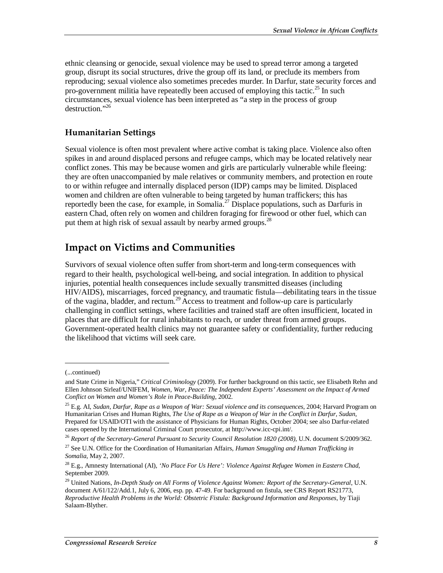ethnic cleansing or genocide, sexual violence may be used to spread terror among a targeted group, disrupt its social structures, drive the group off its land, or preclude its members from reproducing; sexual violence also sometimes precedes murder. In Darfur, state security forces and pro-government militia have repeatedly been accused of employing this tactic.<sup>25</sup> In such circumstances, sexual violence has been interpreted as "a step in the process of group destruction."<sup>26</sup>

#### **Humanitarian Settings**

Sexual violence is often most prevalent where active combat is taking place. Violence also often spikes in and around displaced persons and refugee camps, which may be located relatively near conflict zones. This may be because women and girls are particularly vulnerable while fleeing: they are often unaccompanied by male relatives or community members, and protection en route to or within refugee and internally displaced person (IDP) camps may be limited. Displaced women and children are often vulnerable to being targeted by human traffickers; this has reportedly been the case, for example, in Somalia.<sup>27</sup> Displace populations, such as Darfuris in eastern Chad, often rely on women and children foraging for firewood or other fuel, which can put them at high risk of sexual assault by nearby armed groups.<sup>28</sup>

#### **Impact on Victims and Communities**

Survivors of sexual violence often suffer from short-term and long-term consequences with regard to their health, psychological well-being, and social integration. In addition to physical injuries, potential health consequences include sexually transmitted diseases (including HIV/AIDS), miscarriages, forced pregnancy, and traumatic fistula—debilitating tears in the tissue of the vagina, bladder, and rectum.<sup>29</sup> Access to treatment and follow-up care is particularly challenging in conflict settings, where facilities and trained staff are often insufficient, located in places that are difficult for rural inhabitants to reach, or under threat from armed groups. Government-operated health clinics may not guarantee safety or confidentiality, further reducing the likelihood that victims will seek care.

1

<sup>(...</sup>continued)

and State Crime in Nigeria," *Critical Criminology* (2009). For further background on this tactic, see Elisabeth Rehn and Ellen Johnson Sirleaf/UNIFEM, *Women, War, Peace: The Independent Experts' Assessment on the Impact of Armed Conflict on Women and Women's Role in Peace-Building*, 2002.

<sup>25</sup> E.g. AI, *Sudan, Darfur, Rape as a Weapon of War: Sexual violence and its consequences*, 2004; Harvard Program on Humanitarian Crises and Human Rights, *The Use of Rape as a Weapon of War in the Conflict in Darfur, Sudan*, Prepared for USAID/OTI with the assistance of Physicians for Human Rights, October 2004; see also Darfur-related cases opened by the International Criminal Court prosecutor, at http://www.icc-cpi.int/.

<sup>&</sup>lt;sup>26</sup> Report of the Secretary-General Pursuant to Security Council Resolution 1820 (2008), U.N. document S/2009/362.

<sup>27</sup> See U.N. Office for the Coordination of Humanitarian Affairs, *Human Smuggling and Human Trafficking in Somalia*, May 2, 2007.

<sup>28</sup> E.g., Amnesty International (AI), *'No Place For Us Here': Violence Against Refugee Women in Eastern Chad*, September 2009.

<sup>29</sup> United Nations, *In-Depth Study on All Forms of Violence Against Women: Report of the Secretary-General*, U.N. document A/61/122/Add.1, July 6, 2006, esp. pp. 47-49. For background on fistula, see CRS Report RS21773, *Reproductive Health Problems in the World: Obstetric Fistula: Background Information and Responses*, by Tiaji Salaam-Blyther.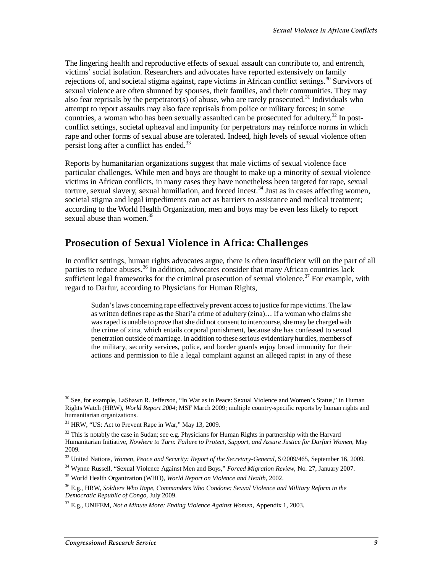The lingering health and reproductive effects of sexual assault can contribute to, and entrench, victims' social isolation. Researchers and advocates have reported extensively on family rejections of, and societal stigma against, rape victims in African conflict settings.<sup>30</sup> Survivors of sexual violence are often shunned by spouses, their families, and their communities. They may also fear reprisals by the perpetrator(s) of abuse, who are rarely prosecuted.<sup>31</sup> Individuals who attempt to report assaults may also face reprisals from police or military forces; in some countries, a woman who has been sexually assaulted can be prosecuted for adultery.<sup>32</sup> In postconflict settings, societal upheaval and impunity for perpetrators may reinforce norms in which rape and other forms of sexual abuse are tolerated. Indeed, high levels of sexual violence often persist long after a conflict has ended.<sup>33</sup>

Reports by humanitarian organizations suggest that male victims of sexual violence face particular challenges. While men and boys are thought to make up a minority of sexual violence victims in African conflicts, in many cases they have nonetheless been targeted for rape, sexual torture, sexual slavery, sexual humiliation, and forced incest.<sup>34</sup> Just as in cases affecting women, societal stigma and legal impediments can act as barriers to assistance and medical treatment; according to the World Health Organization, men and boys may be even less likely to report sexual abuse than women. $35$ 

#### **Prosecution of Sexual Violence in Africa: Challenges**

In conflict settings, human rights advocates argue, there is often insufficient will on the part of all parties to reduce abuses.<sup>36</sup> In addition, advocates consider that many African countries lack sufficient legal frameworks for the criminal prosecution of sexual violence.<sup>37</sup> For example, with regard to Darfur, according to Physicians for Human Rights,

Sudan's laws concerning rape effectively prevent access to justice for rape victims. The law as written defines rape as the Shari'a crime of adultery (zina)… If a woman who claims she was raped is unable to prove that she did not consent to intercourse, she may be charged with the crime of zina, which entails corporal punishment, because she has confessed to sexual penetration outside of marriage. In addition to these serious evidentiary hurdles, members of the military, security services, police, and border guards enjoy broad immunity for their actions and permission to file a legal complaint against an alleged rapist in any of these

-

<sup>&</sup>lt;sup>30</sup> See, for example, LaShawn R. Jefferson, "In War as in Peace: Sexual Violence and Women's Status," in Human Rights Watch (HRW), *World Report 2004*; MSF March 2009; multiple country-specific reports by human rights and humanitarian organizations.

<sup>&</sup>lt;sup>31</sup> HRW, "US: Act to Prevent Rape in War," May 13, 2009.

 $32$  This is notably the case in Sudan; see e.g. Physicians for Human Rights in partnership with the Harvard Humanitarian Initiative, *Nowhere to Turn: Failure to Protect, Support, and Assure Justice for Darfuri Women*, May 2009.

<sup>&</sup>lt;sup>33</sup> United Nations, *Women, Peace and Security: Report of the Secretary-General*, S/2009/465, September 16, 2009.

<sup>34</sup> Wynne Russell, "Sexual Violence Against Men and Boys," *Forced Migration Review*, No. 27, January 2007.

<sup>35</sup> World Health Organization (WHO), *World Report on Violence and Health*, 2002.

<sup>36</sup> E.g., HRW, *Soldiers Who Rape, Commanders Who Condone: Sexual Violence and Military Reform in the Democratic Republic of Congo*, July 2009.

<sup>37</sup> E.g., UNIFEM, *Not a Minute More: Ending Violence Against Women*, Appendix 1, 2003.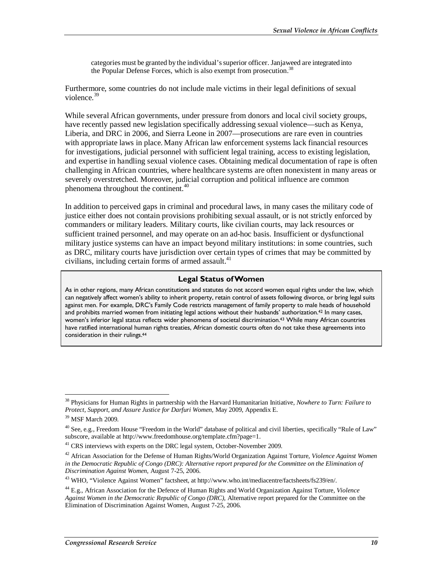categories must be granted by the individual's superior officer. Janjaweed are integrated into the Popular Defense Forces, which is also exempt from prosecution.<sup>38</sup>

Furthermore, some countries do not include male victims in their legal definitions of sexual violence.<sup>39</sup>

While several African governments, under pressure from donors and local civil society groups, have recently passed new legislation specifically addressing sexual violence—such as Kenya, Liberia, and DRC in 2006, and Sierra Leone in 2007—prosecutions are rare even in countries with appropriate laws in place. Many African law enforcement systems lack financial resources for investigations, judicial personnel with sufficient legal training, access to existing legislation, and expertise in handling sexual violence cases. Obtaining medical documentation of rape is often challenging in African countries, where healthcare systems are often nonexistent in many areas or severely overstretched. Moreover, judicial corruption and political influence are common phenomena throughout the continent.<sup>40</sup>

In addition to perceived gaps in criminal and procedural laws, in many cases the military code of justice either does not contain provisions prohibiting sexual assault, or is not strictly enforced by commanders or military leaders. Military courts, like civilian courts, may lack resources or sufficient trained personnel, and may operate on an ad-hoc basis. Insufficient or dysfunctional military justice systems can have an impact beyond military institutions: in some countries, such as DRC, military courts have jurisdiction over certain types of crimes that may be committed by civilians, including certain forms of armed assault.<sup>41</sup>

#### **Legal Status of Women**

As in other regions, many African constitutions and statutes do not accord women equal rights under the law, which can negatively affect women's ability to inherit property, retain control of assets following divorce, or bring legal suits against men. For example, DRC's Family Code restricts management of family property to male heads of household and prohibits married women from initiating legal actions without their husbands' authorization.42 In many cases, women's inferior legal status reflects wider phenomena of societal discrimination.<sup>43</sup> While many African countries have ratified international human rights treaties, African domestic courts often do not take these agreements into consideration in their rulings.44

-

<sup>38</sup> Physicians for Human Rights in partnership with the Harvard Humanitarian Initiative, *Nowhere to Turn: Failure to Protect, Support, and Assure Justice for Darfuri Women*, May 2009, Appendix E.

<sup>39</sup> MSF March 2009.

 $40$  See, e.g., Freedom House "Freedom in the World" database of political and civil liberties, specifically "Rule of Law" subscore, available at http://www.freedomhouse.org/template.cfm?page=1.

<sup>&</sup>lt;sup>41</sup> CRS interviews with experts on the DRC legal system, October-November 2009.

<sup>42</sup> African Association for the Defense of Human Rights/World Organization Against Torture, *Violence Against Women*  in the Democratic Republic of Congo (DRC): Alternative report prepared for the Committee on the Elimination of *Discrimination Against Women*, August 7-25, 2006.

<sup>43</sup> WHO, "Violence Against Women" factsheet, at http://www.who.int/mediacentre/factsheets/fs239/en/.

<sup>44</sup> E.g., African Association for the Defence of Human Rights and World Organization Against Torture, *Violence Against Women in the Democratic Republic of Congo (DRC)*, Alternative report prepared for the Committee on the Elimination of Discrimination Against Women, August 7-25, 2006.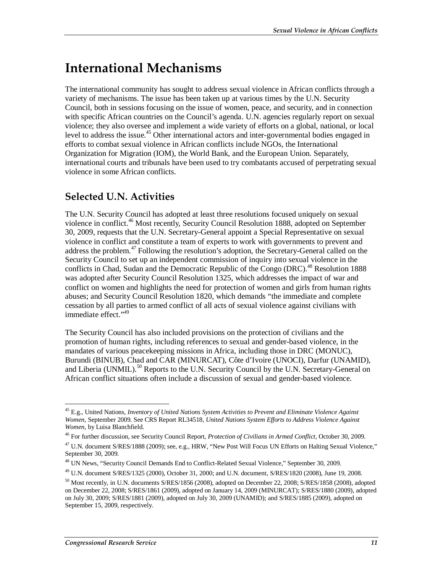## **International Mechanisms**

The international community has sought to address sexual violence in African conflicts through a variety of mechanisms. The issue has been taken up at various times by the U.N. Security Council, both in sessions focusing on the issue of women, peace, and security, and in connection with specific African countries on the Council's agenda. U.N. agencies regularly report on sexual violence; they also oversee and implement a wide variety of efforts on a global, national, or local level to address the issue.<sup>45</sup> Other international actors and inter-governmental bodies engaged in efforts to combat sexual violence in African conflicts include NGOs, the International Organization for Migration (IOM), the World Bank, and the European Union. Separately, international courts and tribunals have been used to try combatants accused of perpetrating sexual violence in some African conflicts.

### **Selected U.N. Activities**

The U.N. Security Council has adopted at least three resolutions focused uniquely on sexual violence in conflict.<sup>46</sup> Most recently, Security Council Resolution 1888, adopted on September 30, 2009, requests that the U.N. Secretary-General appoint a Special Representative on sexual violence in conflict and constitute a team of experts to work with governments to prevent and address the problem.<sup>47</sup> Following the resolution's adoption, the Secretary-General called on the Security Council to set up an independent commission of inquiry into sexual violence in the conflicts in Chad, Sudan and the Democratic Republic of the Congo (DRC).<sup>48</sup> Resolution 1888 was adopted after Security Council Resolution 1325, which addresses the impact of war and conflict on women and highlights the need for protection of women and girls from human rights abuses; and Security Council Resolution 1820, which demands "the immediate and complete cessation by all parties to armed conflict of all acts of sexual violence against civilians with immediate effect."<sup>49</sup>

The Security Council has also included provisions on the protection of civilians and the promotion of human rights, including references to sexual and gender-based violence, in the mandates of various peacekeeping missions in Africa, including those in DRC (MONUC), Burundi (BINUB), Chad and CAR (MINURCAT), Côte d'Ivoire (UNOCI), Darfur (UNAMID), and Liberia (UNMIL).<sup>50</sup> Reports to the U.N. Security Council by the U.N. Secretary-General on African conflict situations often include a discussion of sexual and gender-based violence.

<sup>-</sup>45 E.g., United Nations, *Inventory of United Nations System Activities to Prevent and Eliminate Violence Against Women*, September 2009. See CRS Report RL34518, *United Nations System Efforts to Address Violence Against Women*, by Luisa Blanchfield.

<sup>46</sup> For further discussion, see Security Council Report, *Protection of Civilians in Armed Conflict*, October 30, 2009.

<sup>&</sup>lt;sup>47</sup> U.N. document S/RES/1888 (2009); see, e.g., HRW, "New Post Will Focus UN Efforts on Halting Sexual Violence," September 30, 2009.

<sup>48</sup> UN News, "Security Council Demands End to Conflict-Related Sexual Violence," September 30, 2009.

<sup>49</sup> U.N. document S/RES/1325 (2000), October 31, 2000; and U.N. document, S/RES/1820 (2008), June 19, 2008.

<sup>&</sup>lt;sup>50</sup> Most recently, in U.N. documents S/RES/1856 (2008), adopted on December 22, 2008; S/RES/1858 (2008), adopted on December 22, 2008; S/RES/1861 (2009), adopted on January 14, 2009 (MINURCAT); S/RES/1880 (2009), adopted on July 30, 2009; S/RES/1881 (2009), adopted on July 30, 2009 (UNAMID); and S/RES/1885 (2009), adopted on September 15, 2009, respectively.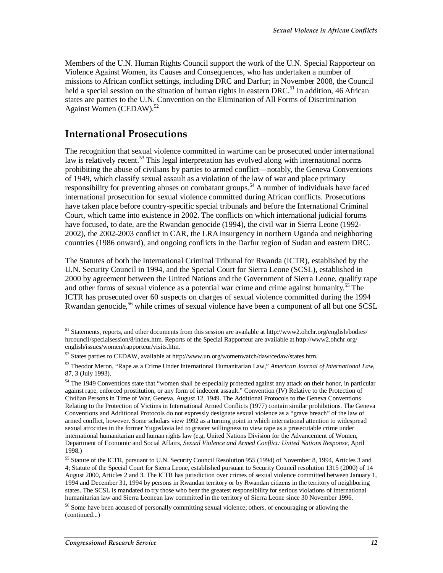Members of the U.N. Human Rights Council support the work of the U.N. Special Rapporteur on Violence Against Women, its Causes and Consequences, who has undertaken a number of missions to African conflict settings, including DRC and Darfur; in November 2008, the Council held a special session on the situation of human rights in eastern DRC.<sup>51</sup> In addition, 46 African states are parties to the U.N. Convention on the Elimination of All Forms of Discrimination Against Women (CEDAW).<sup>52</sup>

#### **International Prosecutions**

The recognition that sexual violence committed in wartime can be prosecuted under international law is relatively recent.<sup>53</sup> This legal interpretation has evolved along with international norms prohibiting the abuse of civilians by parties to armed conflict—notably, the Geneva Conventions of 1949, which classify sexual assault as a violation of the law of war and place primary responsibility for preventing abuses on combatant groups.<sup>54</sup> A number of individuals have faced international prosecution for sexual violence committed during African conflicts. Prosecutions have taken place before country-specific special tribunals and before the International Criminal Court, which came into existence in 2002. The conflicts on which international judicial forums have focused, to date, are the Rwandan genocide (1994), the civil war in Sierra Leone (1992- 2002), the 2002-2003 conflict in CAR, the LRA insurgency in northern Uganda and neighboring countries (1986 onward), and ongoing conflicts in the Darfur region of Sudan and eastern DRC.

The Statutes of both the International Criminal Tribunal for Rwanda (ICTR), established by the U.N. Security Council in 1994, and the Special Court for Sierra Leone (SCSL), established in 2000 by agreement between the United Nations and the Government of Sierra Leone, qualify rape and other forms of sexual violence as a potential war crime and crime against humanity.<sup>55</sup> The ICTR has prosecuted over 60 suspects on charges of sexual violence committed during the 1994 Rwandan genocide,<sup>56</sup> while crimes of sexual violence have been a component of all but one SCSL

-

<sup>&</sup>lt;sup>51</sup> Statements, reports, and other documents from this session are available at http://www2.ohchr.org/english/bodies/ hrcouncil/specialsession/8/index.htm. Reports of the Special Rapporteur are available at http://www2.ohchr.org/ english/issues/women/rapporteur/visits.htm.

<sup>52</sup> States parties to CEDAW, available at http://www.un.org/womenwatch/daw/cedaw/states.htm.

<sup>53</sup> Theodor Meron, "Rape as a Crime Under International Humanitarian Law," *American Journal of International Law*, 87, 3 (July 1993).

 $54$  The 1949 Conventions state that "women shall be especially protected against any attack on their honor, in particular against rape, enforced prostitution, or any form of indecent assault." Convention (IV) Relative to the Protection of Civilian Persons in Time of War, Geneva, August 12, 1949. The Additional Protocols to the Geneva Conventions Relating to the Protection of Victims in International Armed Conflicts (1977) contain similar prohibitions. The Geneva Conventions and Additional Protocols do not expressly designate sexual violence as a "grave breach" of the law of armed conflict, however. Some scholars view 1992 as a turning point in which international attention to widespread sexual atrocities in the former Yugoslavia led to greater willingness to view rape as a prosecutable crime under international humanitarian and human rights law (e.g. United Nations Division for the Advancement of Women, Department of Economic and Social Affairs, *Sexual Violence and Armed Conflict: United Nations Response*, April 1998.)

<sup>55</sup> Statute of the ICTR, pursuant to U.N. Security Council Resolution 955 (1994) of November 8, 1994, Articles 3 and 4; Statute of the Special Court for Sierra Leone, established pursuant to Security Council resolution 1315 (2000) of 14 August 2000, Articles 2 and 3. The ICTR has jurisdiction over crimes of sexual violence committed between January 1, 1994 and December 31, 1994 by persons in Rwandan territory or by Rwandan citizens in the territory of neighboring states. The SCSL is mandated to try those who bear the greatest responsibility for serious violations of international humanitarian law and Sierra Leonean law committed in the territory of Sierra Leone since 30 November 1996.

<sup>&</sup>lt;sup>56</sup> Some have been accused of personally committing sexual violence; others, of encouraging or allowing the (continued...)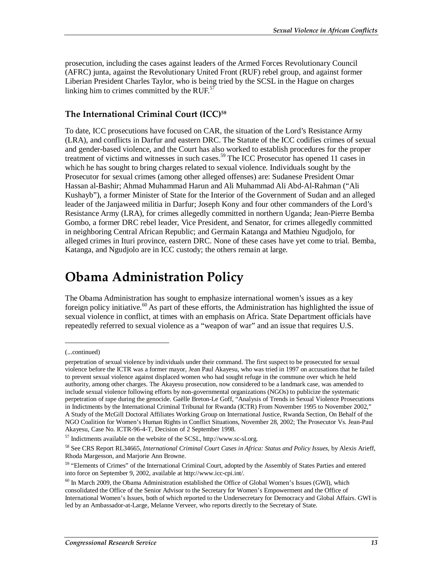prosecution, including the cases against leaders of the Armed Forces Revolutionary Council (AFRC) junta, against the Revolutionary United Front (RUF) rebel group, and against former Liberian President Charles Taylor, who is being tried by the SCSL in the Hague on charges linking him to crimes committed by the  $RUF<sub>1</sub><sup>57</sup>$ 

#### **The International Criminal Court (ICC)58**

To date, ICC prosecutions have focused on CAR, the situation of the Lord's Resistance Army (LRA), and conflicts in Darfur and eastern DRC. The Statute of the ICC codifies crimes of sexual and gender-based violence, and the Court has also worked to establish procedures for the proper treatment of victims and witnesses in such cases.<sup>59</sup> The ICC Prosecutor has opened 11 cases in which he has sought to bring charges related to sexual violence. Individuals sought by the Prosecutor for sexual crimes (among other alleged offenses) are: Sudanese President Omar Hassan al-Bashir; Ahmad Muhammad Harun and Ali Muhammad Ali Abd-Al-Rahman ("Ali Kushayb"), a former Minister of State for the Interior of the Government of Sudan and an alleged leader of the Janjaweed militia in Darfur; Joseph Kony and four other commanders of the Lord's Resistance Army (LRA), for crimes allegedly committed in northern Uganda; Jean-Pierre Bemba Gombo, a former DRC rebel leader, Vice President, and Senator, for crimes allegedly committed in neighboring Central African Republic; and Germain Katanga and Mathieu Ngudjolo, for alleged crimes in Ituri province, eastern DRC. None of these cases have yet come to trial. Bemba, Katanga, and Ngudjolo are in ICC custody; the others remain at large.

## **Obama Administration Policy**

The Obama Administration has sought to emphasize international women's issues as a key foreign policy initiative.<sup>60</sup> As part of these efforts, the Administration has highlighted the issue of sexual violence in conflict, at times with an emphasis on Africa. State Department officials have repeatedly referred to sexual violence as a "weapon of war" and an issue that requires U.S.

1

<sup>(...</sup>continued)

perpetration of sexual violence by individuals under their command. The first suspect to be prosecuted for sexual violence before the ICTR was a former mayor, Jean Paul Akayesu, who was tried in 1997 on accusations that he failed to prevent sexual violence against displaced women who had sought refuge in the commune over which he held authority, among other charges. The Akayesu prosecution, now considered to be a landmark case, was amended to include sexual violence following efforts by non-governmental organizations (NGOs) to publicize the systematic perpetration of rape during the genocide. Gaëlle Breton-Le Goff, "Analysis of Trends in Sexual Violence Prosecutions in Indictments by the International Criminal Tribunal for Rwanda (ICTR) From November 1995 to November 2002," A Study of the McGill Doctoral Affiliates Working Group on International Justice, Rwanda Section, On Behalf of the NGO Coalition for Women's Human Rights in Conflict Situations, November 28, 2002; The Prosecutor Vs. Jean-Paul Akayesu, Case No. ICTR-96-4-T, Decision of 2 September 1998.

<sup>57</sup> Indictments available on the website of the SCSL, http://www.sc-sl.org.

<sup>58</sup> See CRS Report RL34665, *International Criminal Court Cases in Africa: Status and Policy Issues*, by Alexis Arieff, Rhoda Margesson, and Marjorie Ann Browne.

<sup>&</sup>lt;sup>59</sup> "Elements of Crimes" of the International Criminal Court, adopted by the Assembly of States Parties and entered into force on September 9, 2002, available at http://www.icc-cpi.int/.

 $60$  In March 2009, the Obama Administration established the Office of Global Women's Issues (GWI), which consolidated the Office of the Senior Advisor to the Secretary for Women's Empowerment and the Office of International Women's Issues, both of which reported to the Undersecretary for Democracy and Global Affairs. GWI is led by an Ambassador-at-Large, Melanne Verveer, who reports directly to the Secretary of State.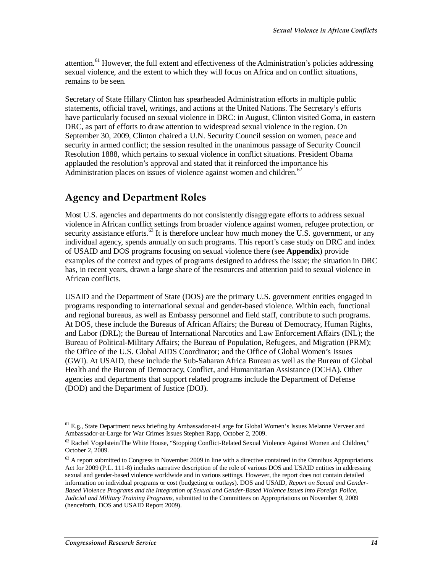attention.<sup>61</sup> However, the full extent and effectiveness of the Administration's policies addressing sexual violence, and the extent to which they will focus on Africa and on conflict situations, remains to be seen.

Secretary of State Hillary Clinton has spearheaded Administration efforts in multiple public statements, official travel, writings, and actions at the United Nations. The Secretary's efforts have particularly focused on sexual violence in DRC: in August, Clinton visited Goma, in eastern DRC, as part of efforts to draw attention to widespread sexual violence in the region. On September 30, 2009, Clinton chaired a U.N. Security Council session on women, peace and security in armed conflict; the session resulted in the unanimous passage of Security Council Resolution 1888, which pertains to sexual violence in conflict situations. President Obama applauded the resolution's approval and stated that it reinforced the importance his Administration places on issues of violence against women and children.<sup>62</sup>

### **Agency and Department Roles**

Most U.S. agencies and departments do not consistently disaggregate efforts to address sexual violence in African conflict settings from broader violence against women, refugee protection, or security assistance efforts.<sup>63</sup> It is therefore unclear how much money the U.S. government, or any individual agency, spends annually on such programs. This report's case study on DRC and index of USAID and DOS programs focusing on sexual violence there (see **Appendix**) provide examples of the context and types of programs designed to address the issue; the situation in DRC has, in recent years, drawn a large share of the resources and attention paid to sexual violence in African conflicts.

USAID and the Department of State (DOS) are the primary U.S. government entities engaged in programs responding to international sexual and gender-based violence. Within each, functional and regional bureaus, as well as Embassy personnel and field staff, contribute to such programs. At DOS, these include the Bureaus of African Affairs; the Bureau of Democracy, Human Rights, and Labor (DRL); the Bureau of International Narcotics and Law Enforcement Affairs (INL); the Bureau of Political-Military Affairs; the Bureau of Population, Refugees, and Migration (PRM); the Office of the U.S. Global AIDS Coordinator; and the Office of Global Women's Issues (GWI). At USAID, these include the Sub-Saharan Africa Bureau as well as the Bureau of Global Health and the Bureau of Democracy, Conflict, and Humanitarian Assistance (DCHA). Other agencies and departments that support related programs include the Department of Defense (DOD) and the Department of Justice (DOJ).

<sup>-</sup><sup>61</sup> E.g., State Department news briefing by Ambassador-at-Large for Global Women's Issues Melanne Verveer and Ambassador-at-Large for War Crimes Issues Stephen Rapp, October 2, 2009.

<sup>62</sup> Rachel Vogelstein/The White House, "Stopping Conflict-Related Sexual Violence Against Women and Children," October 2, 2009.

 $<sup>63</sup>$  A report submitted to Congress in November 2009 in line with a directive contained in the Omnibus Appropriations</sup> Act for 2009 (P.L. 111-8) includes narrative description of the role of various DOS and USAID entities in addressing sexual and gender-based violence worldwide and in various settings. However, the report does not contain detailed information on individual programs or cost (budgeting or outlays). DOS and USAID, *Report on Sexual and Gender-Based Violence Programs and the Integration of Sexual and Gender-Based Violence Issues into Foreign Police, Judicial and Military Training Programs*, submitted to the Committees on Appropriations on November 9, 2009 (henceforth, DOS and USAID Report 2009).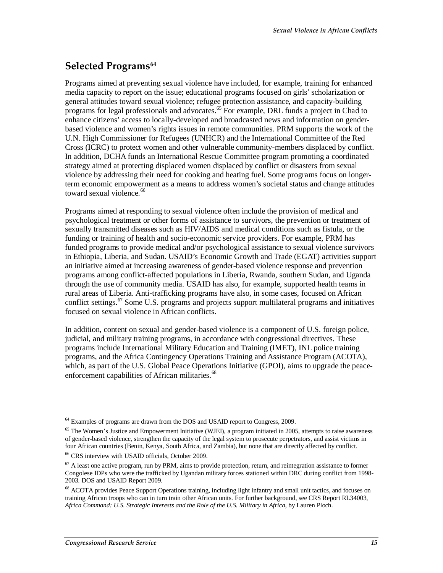### **Selected Programs<sup>64</sup>**

Programs aimed at preventing sexual violence have included, for example, training for enhanced media capacity to report on the issue; educational programs focused on girls' scholarization or general attitudes toward sexual violence; refugee protection assistance, and capacity-building programs for legal professionals and advocates.<sup>65</sup> For example, DRL funds a project in Chad to enhance citizens' access to locally-developed and broadcasted news and information on genderbased violence and women's rights issues in remote communities. PRM supports the work of the U.N. High Commissioner for Refugees (UNHCR) and the International Committee of the Red Cross (ICRC) to protect women and other vulnerable community-members displaced by conflict. In addition, DCHA funds an International Rescue Committee program promoting a coordinated strategy aimed at protecting displaced women displaced by conflict or disasters from sexual violence by addressing their need for cooking and heating fuel. Some programs focus on longerterm economic empowerment as a means to address women's societal status and change attitudes toward sexual violence.<sup>66</sup>

Programs aimed at responding to sexual violence often include the provision of medical and psychological treatment or other forms of assistance to survivors, the prevention or treatment of sexually transmitted diseases such as HIV/AIDS and medical conditions such as fistula, or the funding or training of health and socio-economic service providers. For example, PRM has funded programs to provide medical and/or psychological assistance to sexual violence survivors in Ethiopia, Liberia, and Sudan. USAID's Economic Growth and Trade (EGAT) activities support an initiative aimed at increasing awareness of gender-based violence response and prevention programs among conflict-affected populations in Liberia, Rwanda, southern Sudan, and Uganda through the use of community media. USAID has also, for example, supported health teams in rural areas of Liberia. Anti-trafficking programs have also, in some cases, focused on African conflict settings.<sup>67</sup> Some U.S. programs and projects support multilateral programs and initiatives focused on sexual violence in African conflicts.

In addition, content on sexual and gender-based violence is a component of U.S. foreign police, judicial, and military training programs, in accordance with congressional directives. These programs include International Military Education and Training (IMET), INL police training programs, and the Africa Contingency Operations Training and Assistance Program (ACOTA), which, as part of the U.S. Global Peace Operations Initiative (GPOI), aims to upgrade the peaceenforcement capabilities of African militaries.<sup>68</sup>

<sup>-</sup><sup>64</sup> Examples of programs are drawn from the DOS and USAID report to Congress, 2009.

 $65$  The Women's Justice and Empowerment Initiative (WJEI), a program initiated in 2005, attempts to raise awareness of gender-based violence, strengthen the capacity of the legal system to prosecute perpetrators, and assist victims in four African countries (Benin, Kenya, South Africa, and Zambia), but none that are directly affected by conflict.

<sup>66</sup> CRS interview with USAID officials, October 2009.

 $67$  A least one active program, run by PRM, aims to provide protection, return, and reintegration assistance to former Congolese IDPs who were the trafficked by Ugandan military forces stationed within DRC during conflict from 1998- 2003. DOS and USAID Report 2009.

<sup>68</sup> ACOTA provides Peace Support Operations training, including light infantry and small unit tactics, and focuses on training African troops who can in turn train other African units. For further background, see CRS Report RL34003, *Africa Command: U.S. Strategic Interests and the Role of the U.S. Military in Africa*, by Lauren Ploch.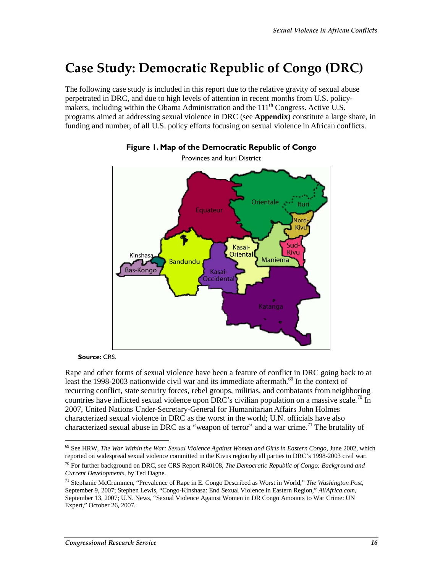## **Case Study: Democratic Republic of Congo (DRC)**

The following case study is included in this report due to the relative gravity of sexual abuse perpetrated in DRC, and due to high levels of attention in recent months from U.S. policymakers, including within the Obama Administration and the 111<sup>th</sup> Congress. Active U.S. programs aimed at addressing sexual violence in DRC (see **Appendix**) constitute a large share, in funding and number, of all U.S. policy efforts focusing on sexual violence in African conflicts.





**Source:** CRS.

Rape and other forms of sexual violence have been a feature of conflict in DRC going back to at least the 1998-2003 nationwide civil war and its immediate aftermath.<sup>69</sup> In the context of recurring conflict, state security forces, rebel groups, militias, and combatants from neighboring countries have inflicted sexual violence upon DRC's civilian population on a massive scale.<sup>70</sup> In 2007, United Nations Under-Secretary-General for Humanitarian Affairs John Holmes characterized sexual violence in DRC as the worst in the world; U.N. officials have also characterized sexual abuse in DRC as a "weapon of terror" and a war crime.<sup>71</sup> The brutality of

<sup>&</sup>lt;u>.</u> 69 See HRW, *The War Within the War: Sexual Violence Against Women and Girls in Eastern Congo*, June 2002, which reported on widespread sexual violence committed in the Kivus region by all parties to DRC's 1998-2003 civil war.

<sup>70</sup> For further background on DRC, see CRS Report R40108, *The Democratic Republic of Congo: Background and Current Developments*, by Ted Dagne.

<sup>71</sup> Stephanie McCrummen, "Prevalence of Rape in E. Congo Described as Worst in World," *The Washington Post*, September 9, 2007; Stephen Lewis, "Congo-Kinshasa: End Sexual Violence in Eastern Region," *AllAfrica.com*, September 13, 2007; U.N. News, "Sexual Violence Against Women in DR Congo Amounts to War Crime: UN Expert," October 26, 2007.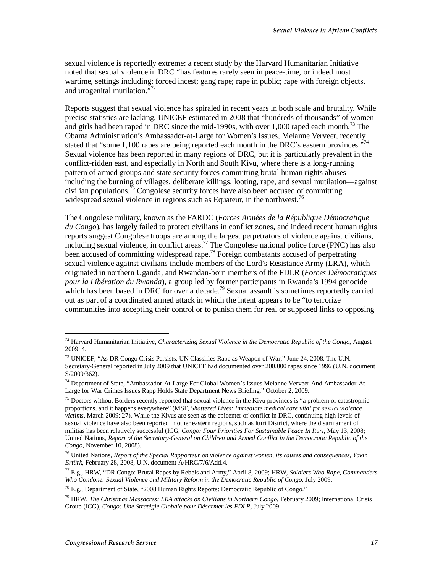sexual violence is reportedly extreme: a recent study by the Harvard Humanitarian Initiative noted that sexual violence in DRC "has features rarely seen in peace-time, or indeed most wartime, settings including: forced incest; gang rape; rape in public; rape with foreign objects, and urogenital mutilation."<sup>72</sup>

Reports suggest that sexual violence has spiraled in recent years in both scale and brutality. While precise statistics are lacking, UNICEF estimated in 2008 that "hundreds of thousands" of women and girls had been raped in DRC since the mid-1990s, with over 1,000 raped each month.<sup>73</sup> The Obama Administration's Ambassador-at-Large for Women's Issues, Melanne Verveer, recently stated that "some 1,100 rapes are being reported each month in the DRC's eastern provinces."<sup>74</sup> Sexual violence has been reported in many regions of DRC, but it is particularly prevalent in the conflict-ridden east, and especially in North and South Kivu, where there is a long-running pattern of armed groups and state security forces committing brutal human rights abuses including the burning of villages, deliberate killings, looting, rape, and sexual mutilation—against civilian populations.<sup>75</sup> Congolese security forces have also been accused of committing widespread sexual violence in regions such as Equateur, in the northwest.<sup>76</sup>

The Congolese military, known as the FARDC (*Forces Armées de la République Démocratique du Congo*), has largely failed to protect civilians in conflict zones, and indeed recent human rights reports suggest Congolese troops are among the largest perpetrators of violence against civilians, including sexual violence, in conflict areas.<sup>77</sup> The Congolese national police force (PNC) has also been accused of committing widespread rape.<sup>78</sup> Foreign combatants accused of perpetrating sexual violence against civilians include members of the Lord's Resistance Army (LRA), which originated in northern Uganda, and Rwandan-born members of the FDLR (*Forces Démocratiques pour la Libération du Rwanda*), a group led by former participants in Rwanda's 1994 genocide which has been based in DRC for over a decade.<sup>79</sup> Sexual assault is sometimes reportedly carried out as part of a coordinated armed attack in which the intent appears to be "to terrorize communities into accepting their control or to punish them for real or supposed links to opposing

<sup>-</sup>72 Harvard Humanitarian Initiative, *Characterizing Sexual Violence in the Democratic Republic of the Congo*, August 2009: 4.

<sup>73</sup> UNICEF, "As DR Congo Crisis Persists, UN Classifies Rape as Weapon of War," June 24, 2008. The U.N. Secretary-General reported in July 2009 that UNICEF had documented over 200,000 rapes since 1996 (U.N. document S/2009/362).

<sup>74</sup> Department of State, "Ambassador-At-Large For Global Women's Issues Melanne Verveer And Ambassador-At-Large for War Crimes Issues Rapp Holds State Department News Briefing," October 2, 2009.

 $<sup>75</sup>$  Doctors without Borders recently reported that sexual violence in the Kivu provinces is "a problem of catastrophic</sup> proportions, and it happens everywhere" (MSF, *Shattered Lives: Immediate medical care vital for sexual violence victims*, March 2009: 27). While the Kivus are seen as the epicenter of conflict in DRC, continuing high levels of sexual violence have also been reported in other eastern regions, such as Ituri District, where the disarmament of militias has been relatively successful (ICG, *Congo: Four Priorities For Sustainable Peace In Ituri*, May 13, 2008; United Nations, *Report of the Secretary-General on Children and Armed Conflict in the Democratic Republic of the Congo*, November 10, 2008).

<sup>76</sup> United Nations, *Report of the Special Rapporteur on violence against women, its causes and consequences, Yakin Ertürk*, February 28, 2008, U.N. document A/HRC/7/6/Add.4.

<sup>77</sup> E.g., HRW, "DR Congo: Brutal Rapes by Rebels and Army," April 8, 2009; HRW, *Soldiers Who Rape, Commanders Who Condone: Sexual Violence and Military Reform in the Democratic Republic of Congo*, July 2009.

 $^{78}$  E.g., Department of State, "2008 Human Rights Reports: Democratic Republic of Congo."

<sup>79</sup> HRW, *The Christmas Massacres: LRA attacks on Civilians in Northern Congo*, February 2009; International Crisis Group (ICG), *Congo: Une Stratégie Globale pour Désarmer les FDLR*, July 2009.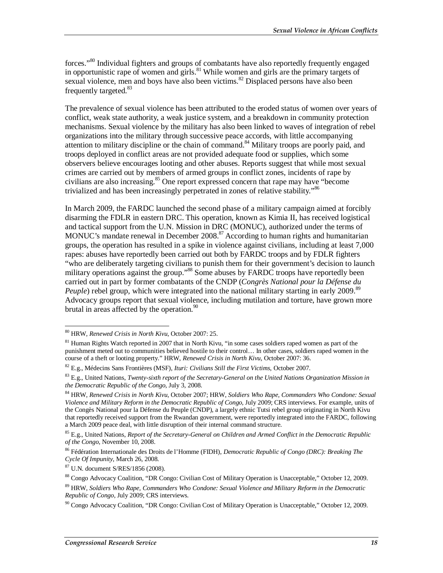forces."<sup>80</sup> Individual fighters and groups of combatants have also reportedly frequently engaged in opportunistic rape of women and girls.<sup>81</sup> While women and girls are the primary targets of sexual violence, men and boys have also been victims. $82$  Displaced persons have also been frequently targeted.<sup>83</sup>

The prevalence of sexual violence has been attributed to the eroded status of women over years of conflict, weak state authority, a weak justice system, and a breakdown in community protection mechanisms. Sexual violence by the military has also been linked to waves of integration of rebel organizations into the military through successive peace accords, with little accompanying attention to military discipline or the chain of command.<sup>84</sup> Military troops are poorly paid, and troops deployed in conflict areas are not provided adequate food or supplies, which some observers believe encourages looting and other abuses. Reports suggest that while most sexual crimes are carried out by members of armed groups in conflict zones, incidents of rape by civilians are also increasing.<sup>85</sup> One report expressed concern that rape may have "become trivialized and has been increasingly perpetrated in zones of relative stability.<sup>86</sup>

In March 2009, the FARDC launched the second phase of a military campaign aimed at forcibly disarming the FDLR in eastern DRC. This operation, known as Kimia II, has received logistical and tactical support from the U.N. Mission in DRC (MONUC), authorized under the terms of MONUC's mandate renewal in December 2008.<sup>87</sup> According to human rights and humanitarian groups, the operation has resulted in a spike in violence against civilians, including at least 7,000 rapes: abuses have reportedly been carried out both by FARDC troops and by FDLR fighters "who are deliberately targeting civilians to punish them for their government's decision to launch military operations against the group."<sup>88</sup> Some abuses by FARDC troops have reportedly been carried out in part by former combatants of the CNDP (*Congrès National pour la Défense du Peuple*) rebel group, which were integrated into the national military starting in early 2009.<sup>89</sup> Advocacy groups report that sexual violence, including mutilation and torture, have grown more brutal in areas affected by the operation.<sup>90</sup>

<sup>-</sup>80 HRW, *Renewed Crisis in North Kivu*, October 2007: 25.

<sup>&</sup>lt;sup>81</sup> Human Rights Watch reported in 2007 that in North Kivu, "in some cases soldiers raped women as part of the punishment meted out to communities believed hostile to their control… In other cases, soldiers raped women in the course of a theft or looting property." HRW, *Renewed Crisis in North Kivu*, October 2007: 36.

<sup>82</sup> E.g., Médecins Sans Frontières (MSF), *Ituri: Civilians Still the First Victims*, October 2007.

<sup>83</sup> E.g., United Nations, *Twenty-sixth report of the Secretary-General on the United Nations Organization Mission in the Democratic Republic of the Congo*, July 3, 2008.

<sup>84</sup> HRW, *Renewed Crisis in North Kivu*, October 2007; HRW, *Soldiers Who Rape, Commanders Who Condone: Sexual Violence and Military Reform in the Democratic Republic of Congo*, July 2009; CRS interviews. For example, units of the Congès National pour la Défense du Peuple (CNDP), a largely ethnic Tutsi rebel group originating in North Kivu that reportedly received support from the Rwandan government, were reportedly integrated into the FARDC, following a March 2009 peace deal, with little disruption of their internal command structure.

<sup>85</sup> E.g., United Nations, *Report of the Secretary-General on Children and Armed Conflict in the Democratic Republic of the Congo*, November 10, 2008.

<sup>86</sup> Fédération Internationale des Droits de l'Homme (FIDH), *Democratic Republic of Congo (DRC): Breaking The Cycle Of Impunity*, March 26, 2008.

<sup>87</sup> U.N. document S/RES/1856 (2008).

<sup>88</sup> Congo Advocacy Coalition, "DR Congo: Civilian Cost of Military Operation is Unacceptable," October 12, 2009.

<sup>89</sup> HRW, *Soldiers Who Rape, Commanders Who Condone: Sexual Violence and Military Reform in the Democratic Republic of Congo*, July 2009; CRS interviews.

 $90$  Congo Advocacy Coalition, "DR Congo: Civilian Cost of Military Operation is Unacceptable," October 12, 2009.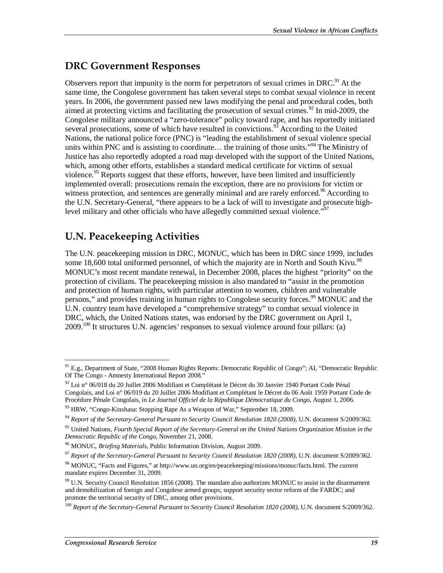### **DRC Government Responses**

Observers report that impunity is the norm for perpetrators of sexual crimes in DRC.<sup>91</sup> At the same time, the Congolese government has taken several steps to combat sexual violence in recent years. In 2006, the government passed new laws modifying the penal and procedural codes, both aimed at protecting victims and facilitating the prosecution of sexual crimes.<sup>92</sup> In mid-2009, the Congolese military announced a "zero-tolerance" policy toward rape, and has reportedly initiated several prosecutions, some of which have resulted in convictions.<sup>93</sup> According to the United Nations, the national police force (PNC) is "leading the establishment of sexual violence special units within PNC and is assisting to coordinate... the training of those units."<sup>94</sup> The Ministry of Justice has also reportedly adopted a road map developed with the support of the United Nations, which, among other efforts, establishes a standard medical certificate for victims of sexual violence.<sup>95</sup> Reports suggest that these efforts, however, have been limited and insufficiently implemented overall: prosecutions remain the exception, there are no provisions for victim or witness protection, and sentences are generally minimal and are rarely enforced.<sup>96</sup> According to the U.N. Secretary-General, "there appears to be a lack of will to investigate and prosecute highlevel military and other officials who have allegedly committed sexual violence."<sup>97</sup>

### **U.N. Peacekeeping Activities**

The U.N. peacekeeping mission in DRC, MONUC, which has been in DRC since 1999, includes some 18,600 total uniformed personnel, of which the majority are in North and South Kivu.<sup>98</sup> MONUC's most recent mandate renewal, in December 2008, places the highest "priority" on the protection of civilians. The peacekeeping mission is also mandated to "assist in the promotion and protection of human rights, with particular attention to women, children and vulnerable persons," and provides training in human rights to Congolese security forces.<sup>99</sup> MONUC and the U.N. country team have developed a "comprehensive strategy" to combat sexual violence in DRC, which, the United Nations states, was endorsed by the DRC government on April 1,  $2009$ <sup>100</sup> It structures U.N. agencies' responses to sexual violence around four pillars: (a)

<sup>97</sup> *Report of the Secretary-General Pursuant to Security Council Resolution 1820 (2008)*, U.N. document S/2009/362.

<sup>&</sup>lt;u>.</u> <sup>91</sup> E.g., Department of State, "2008 Human Rights Reports: Democratic Republic of Congo"; AI, "Democratic Republic Of The Congo - Amnesty International Report 2008."

<sup>&</sup>lt;sup>92</sup> Loi n° 06/018 du 20 Juillet 2006 Modifiant et Complétant le Décret du 30 Janvier 1940 Portant Code Pénal Congolais, and Loi n° 06/019 du 20 Juillet 2006 Modifiant et Complétant le Décret du 06 Août 1959 Portant Code de Procédure Pénale Congolais, in *Le Journal Officiel de la République Démocratique du Congo*, August 1, 2006.<br><sup>93</sup> HRW, "Congo-Kinshasa: Stopping Rape As a Weapon of War," September 18, 2009.

<sup>94</sup> *Report of the Secretary-General Pursuant to Security Council Resolution 1820 (2008)*, U.N. document S/2009/362.

<sup>95</sup> United Nations, *Fourth Special Report of the Secretary-General on the United Nations Organization Mission in the* 

<sup>&</sup>lt;sup>96</sup> MONUC, *Briefing Materials*, Public Information Division, August 2009.

<sup>98</sup> MONUC, "Facts and Figures," at http://www.un.org/en/peacekeeping/missions/monuc/facts.html. The current mandate expires December 31, 2009.

 $99$  U.N. Security Council Resolution 1856 (2008). The mandate also authorizes MONUC to assist in the disarmament and demobilization of foreign and Congolese armed groups; support security sector reform of the FARDC; and promote the territorial security of DRC, among other provisions.

<sup>100</sup> *Report of the Secretary-General Pursuant to Security Council Resolution 1820 (2008)*, U.N. document S/2009/362.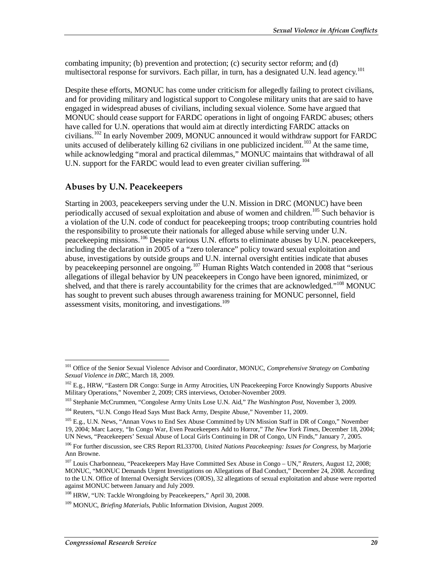combating impunity; (b) prevention and protection; (c) security sector reform; and (d) multisectoral response for survivors. Each pillar, in turn, has a designated U.N. lead agency.<sup>101</sup>

Despite these efforts, MONUC has come under criticism for allegedly failing to protect civilians, and for providing military and logistical support to Congolese military units that are said to have engaged in widespread abuses of civilians, including sexual violence. Some have argued that MONUC should cease support for FARDC operations in light of ongoing FARDC abuses; others have called for U.N. operations that would aim at directly interdicting FARDC attacks on civilians.<sup>102</sup> In early November 2009, MONUC announced it would withdraw support for FARDC units accused of deliberately killing 62 civilians in one publicized incident.<sup>103</sup> At the same time, while acknowledging "moral and practical dilemmas," MONUC maintains that withdrawal of all U.N. support for the FARDC would lead to even greater civilian suffering.<sup>104</sup>

#### **Abuses by U.N. Peacekeepers**

Starting in 2003, peacekeepers serving under the U.N. Mission in DRC (MONUC) have been periodically accused of sexual exploitation and abuse of women and children.<sup>105</sup> Such behavior is a violation of the U.N. code of conduct for peacekeeping troops; troop contributing countries hold the responsibility to prosecute their nationals for alleged abuse while serving under U.N. peacekeeping missions.<sup>106</sup> Despite various U.N. efforts to eliminate abuses by U.N. peacekeepers, including the declaration in 2005 of a "zero tolerance" policy toward sexual exploitation and abuse, investigations by outside groups and U.N. internal oversight entities indicate that abuses by peacekeeping personnel are ongoing.<sup>107</sup> Human Rights Watch contended in 2008 that "serious allegations of illegal behavior by UN peacekeepers in Congo have been ignored, minimized, or shelved, and that there is rarely accountability for the crimes that are acknowledged."<sup>108</sup> MONUC has sought to prevent such abuses through awareness training for MONUC personnel, field assessment visits, monitoring, and investigations.<sup>109</sup>

-

<sup>101</sup> Office of the Senior Sexual Violence Advisor and Coordinator, MONUC, *Comprehensive Strategy on Combating Sexual Violence in DRC*, March 18, 2009.

<sup>&</sup>lt;sup>102</sup> E.g., HRW, "Eastern DR Congo: Surge in Army Atrocities, UN Peacekeeping Force Knowingly Supports Abusive Military Operations," November 2, 2009; CRS interviews, October-November 2009.

<sup>103</sup> Stephanie McCrummen, "Congolese Army Units Lose U.N. Aid," *The Washington Post*, November 3, 2009.

<sup>&</sup>lt;sup>104</sup> Reuters, "U.N. Congo Head Says Must Back Army, Despite Abuse," November 11, 2009.

<sup>&</sup>lt;sup>105</sup> E.g., U.N. News, "Annan Vows to End Sex Abuse Committed by UN Mission Staff in DR of Congo," November 19, 2004; Marc Lacey, "In Congo War, Even Peacekeepers Add to Horror," *The New York Times*, December 18, 2004; UN News, "Peacekeepers' Sexual Abuse of Local Girls Continuing in DR of Congo, UN Finds," January 7, 2005.

<sup>106</sup> For further discussion, see CRS Report RL33700, *United Nations Peacekeeping: Issues for Congress*, by Marjorie Ann Browne.

<sup>107</sup> Louis Charbonneau, "Peacekeepers May Have Committed Sex Abuse in Congo – UN," *Reuters*, August 12, 2008; MONUC, "MONUC Demands Urgent Investigations on Allegations of Bad Conduct," December 24, 2008. According to the U.N. Office of Internal Oversight Services (OIOS), 32 allegations of sexual exploitation and abuse were reported against MONUC between January and July 2009.

<sup>&</sup>lt;sup>108</sup> HRW, "UN: Tackle Wrongdoing by Peacekeepers," April 30, 2008.

<sup>109</sup> MONUC, *Briefing Materials*, Public Information Division, August 2009.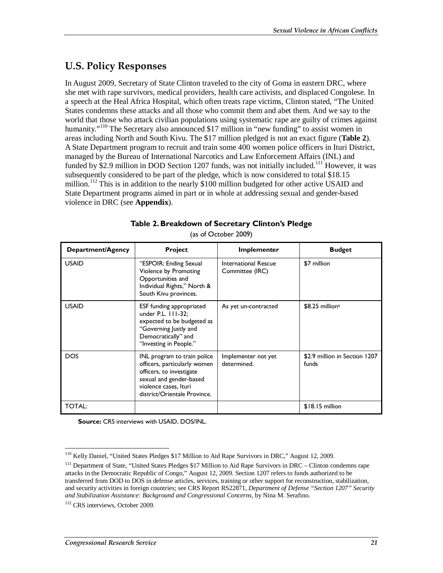### **U.S. Policy Responses**

In August 2009, Secretary of State Clinton traveled to the city of Goma in eastern DRC, where she met with rape survivors, medical providers, health care activists, and displaced Congolese. In a speech at the Heal Africa Hospital, which often treats rape victims, Clinton stated, "The United States condemns these attacks and all those who commit them and abet them. And we say to the world that those who attack civilian populations using systematic rape are guilty of crimes against humanity."<sup>110</sup> The Secretary also announced \$17 million in "new funding" to assist women in areas including North and South Kivu. The \$17 million pledged is not an exact figure (**Table 2**). A State Department program to recruit and train some 400 women police officers in Ituri District, managed by the Bureau of International Narcotics and Law Enforcement Affairs (INL) and funded by \$2.9 million in DOD Section 1207 funds, was not initially included.<sup>111</sup> However, it was subsequently considered to be part of the pledge, which is now considered to total \$18.15 million.<sup>112</sup> This is in addition to the nearly \$100 million budgeted for other active USAID and State Department programs aimed in part or in whole at addressing sexual and gender-based violence in DRC (see **Appendix**).

| Department/Agency | <b>Project</b>                                                                                                                                                              | Implementer                             | <b>Budget</b>                          |
|-------------------|-----------------------------------------------------------------------------------------------------------------------------------------------------------------------------|-----------------------------------------|----------------------------------------|
| <b>USAID</b>      | "ESPOIR: Ending Sexual<br>Violence by Promoting<br>Opportunities and<br>Individual Rights," North &<br>South Kivu provinces.                                                | International Rescue<br>Committee (IRC) | \$7 million                            |
| <b>USAID</b>      | ESF funding appropriated<br>under P.L. 111-32:<br>expected to be budgeted as<br>"Governing Justly and<br>Democratically" and<br>"Investing in People."                      | As yet un-contracted                    | $$8.25$ million <sup>a</sup>           |
| <b>DOS</b>        | INL program to train police<br>officers, particularly women<br>officers, to investigate<br>sexual and gender-based<br>violence cases, Ituri<br>district/Orientale Province. | Implementer not yet<br>determined.      | \$2.9 million in Section 1207<br>funds |
| <b>TOTAL:</b>     |                                                                                                                                                                             |                                         | $$18.15$ million                       |

**Table 2. Breakdown of Secretary Clinton's Pledge** 

(as of October 2009)

**Source:** CRS interviews with USAID, DOS/INL.

 $\frac{1}{1}$ <sup>110</sup> Kelly Daniel, "United States Pledges \$17 Million to Aid Rape Survivors in DRC," August 12, 2009.

<sup>&</sup>lt;sup>111</sup> Department of State, "United States Pledges \$17 Million to Aid Rape Survivors in DRC – Clinton condemns rape attacks in the Democratic Republic of Congo," August 12, 2009. Section 1207 refers to funds authorized to be transferred from DOD to DOS in defense articles, services, training or other support for reconstruction, stabilization, and security activities in foreign countries; see CRS Report RS22871, *Department of Defense "Section 1207" Security and Stabilization Assistance: Background and Congressional Concerns*, by Nina M. Serafino.

<sup>&</sup>lt;sup>112</sup> CRS interviews, October 2009.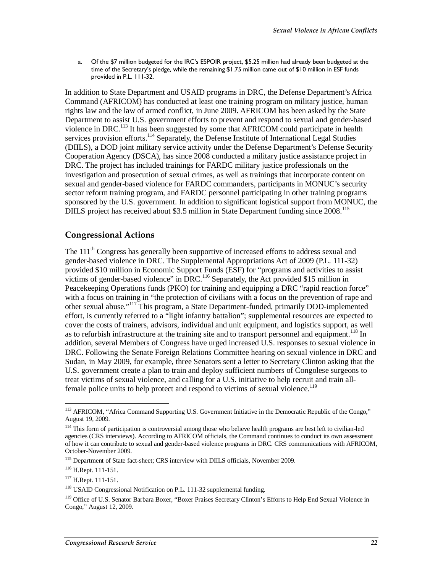a. Of the \$7 million budgeted for the IRC's ESPOIR project, \$5.25 million had already been budgeted at the time of the Secretary's pledge, while the remaining \$1.75 million came out of \$10 million in ESF funds provided in P.L. 111-32.

In addition to State Department and USAID programs in DRC, the Defense Department's Africa Command (AFRICOM) has conducted at least one training program on military justice, human rights law and the law of armed conflict, in June 2009. AFRICOM has been asked by the State Department to assist U.S. government efforts to prevent and respond to sexual and gender-based violence in DRC.<sup>113</sup> It has been suggested by some that AFRICOM could participate in health services provision efforts.<sup>114</sup> Separately, the Defense Institute of International Legal Studies (DIILS), a DOD joint military service activity under the Defense Department's Defense Security Cooperation Agency (DSCA), has since 2008 conducted a military justice assistance project in DRC. The project has included trainings for FARDC military justice professionals on the investigation and prosecution of sexual crimes, as well as trainings that incorporate content on sexual and gender-based violence for FARDC commanders, participants in MONUC's security sector reform training program, and FARDC personnel participating in other training programs sponsored by the U.S. government. In addition to significant logistical support from MONUC, the DIILS project has received about \$3.5 million in State Department funding since 2008.<sup>115</sup>

#### **Congressional Actions**

The 111<sup>th</sup> Congress has generally been supportive of increased efforts to address sexual and gender-based violence in DRC. The Supplemental Appropriations Act of 2009 (P.L. 111-32) provided \$10 million in Economic Support Funds (ESF) for "programs and activities to assist victims of gender-based violence" in DRC.<sup>116</sup> Separately, the Act provided \$15 million in Peacekeeping Operations funds (PKO) for training and equipping a DRC "rapid reaction force" with a focus on training in "the protection of civilians with a focus on the prevention of rape and other sexual abuse."117 This program, a State Department-funded, primarily DOD-implemented effort, is currently referred to a "light infantry battalion"; supplemental resources are expected to cover the costs of trainers, advisors, individual and unit equipment, and logistics support, as well as to refurbish infrastructure at the training site and to transport personnel and equipment.<sup>118</sup> In addition, several Members of Congress have urged increased U.S. responses to sexual violence in DRC. Following the Senate Foreign Relations Committee hearing on sexual violence in DRC and Sudan, in May 2009, for example, three Senators sent a letter to Secretary Clinton asking that the U.S. government create a plan to train and deploy sufficient numbers of Congolese surgeons to treat victims of sexual violence, and calling for a U.S. initiative to help recruit and train allfemale police units to help protect and respond to victims of sexual violence.<sup>119</sup>

<sup>-</sup><sup>113</sup> AFRICOM, "Africa Command Supporting U.S. Government Initiative in the Democratic Republic of the Congo," August 19, 2009.

<sup>&</sup>lt;sup>114</sup> This form of participation is controversial among those who believe health programs are best left to civilian-led agencies (CRS interviews). According to AFRICOM officials, the Command continues to conduct its own assessment of how it can contribute to sexual and gender-based violence programs in DRC. CRS communications with AFRICOM, October-November 2009.

<sup>&</sup>lt;sup>115</sup> Department of State fact-sheet; CRS interview with DIILS officials, November 2009.

<sup>116</sup> H.Rept. 111-151.

<sup>117</sup> H.Rept. 111-151.

<sup>&</sup>lt;sup>118</sup> USAID Congressional Notification on P.L. 111-32 supplemental funding.

<sup>119</sup> Office of U.S. Senator Barbara Boxer, "Boxer Praises Secretary Clinton's Efforts to Help End Sexual Violence in Congo," August 12, 2009.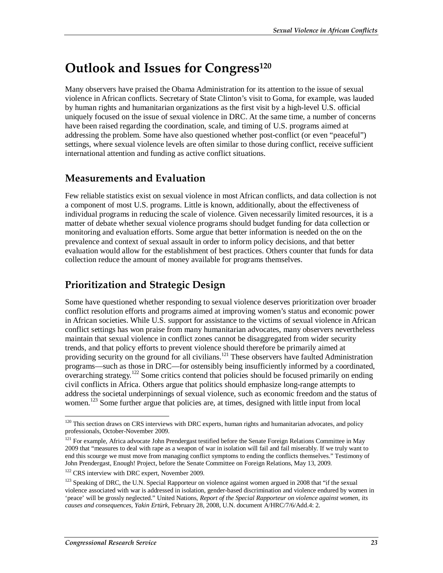## **Outlook and Issues for Congress**<sup>120</sup>

Many observers have praised the Obama Administration for its attention to the issue of sexual violence in African conflicts. Secretary of State Clinton's visit to Goma, for example, was lauded by human rights and humanitarian organizations as the first visit by a high-level U.S. official uniquely focused on the issue of sexual violence in DRC. At the same time, a number of concerns have been raised regarding the coordination, scale, and timing of U.S. programs aimed at addressing the problem. Some have also questioned whether post-conflict (or even "peaceful") settings, where sexual violence levels are often similar to those during conflict, receive sufficient international attention and funding as active conflict situations.

### **Measurements and Evaluation**

Few reliable statistics exist on sexual violence in most African conflicts, and data collection is not a component of most U.S. programs. Little is known, additionally, about the effectiveness of individual programs in reducing the scale of violence. Given necessarily limited resources, it is a matter of debate whether sexual violence programs should budget funding for data collection or monitoring and evaluation efforts. Some argue that better information is needed on the on the prevalence and context of sexual assault in order to inform policy decisions, and that better evaluation would allow for the establishment of best practices. Others counter that funds for data collection reduce the amount of money available for programs themselves.

## **Prioritization and Strategic Design**

Some have questioned whether responding to sexual violence deserves prioritization over broader conflict resolution efforts and programs aimed at improving women's status and economic power in African societies. While U.S. support for assistance to the victims of sexual violence in African conflict settings has won praise from many humanitarian advocates, many observers nevertheless maintain that sexual violence in conflict zones cannot be disaggregated from wider security trends, and that policy efforts to prevent violence should therefore be primarily aimed at providing security on the ground for all civilians.<sup>121</sup> These observers have faulted Administration programs—such as those in DRC—for ostensibly being insufficiently informed by a coordinated, overarching strategy.<sup>122</sup> Some critics contend that policies should be focused primarily on ending civil conflicts in Africa. Others argue that politics should emphasize long-range attempts to address the societal underpinnings of sexual violence, such as economic freedom and the status of women.<sup>123</sup> Some further argue that policies are, at times, designed with little input from local

<sup>-</sup> $120$  This section draws on CRS interviews with DRC experts, human rights and humanitarian advocates, and policy professionals, October-November 2009.

<sup>&</sup>lt;sup>121</sup> For example, Africa advocate John Prendergast testified before the Senate Foreign Relations Committee in May 2009 that "measures to deal with rape as a weapon of war in isolation will fail and fail miserably. If we truly want to end this scourge we must move from managing conflict symptoms to ending the conflicts themselves." Testimony of John Prendergast, Enough! Project, before the Senate Committee on Foreign Relations, May 13, 2009.

<sup>&</sup>lt;sup>122</sup> CRS interview with DRC expert, November 2009.

<sup>&</sup>lt;sup>123</sup> Speaking of DRC, the U.N. Special Rapporteur on violence against women argued in 2008 that "if the sexual violence associated with war is addressed in isolation, gender-based discrimination and violence endured by women in 'peace' will be grossly neglected." United Nations, *Report of the Special Rapporteur on violence against women, its causes and consequences, Yakin Ertürk*, February 28, 2008, U.N. document A/HRC/7/6/Add.4: 2.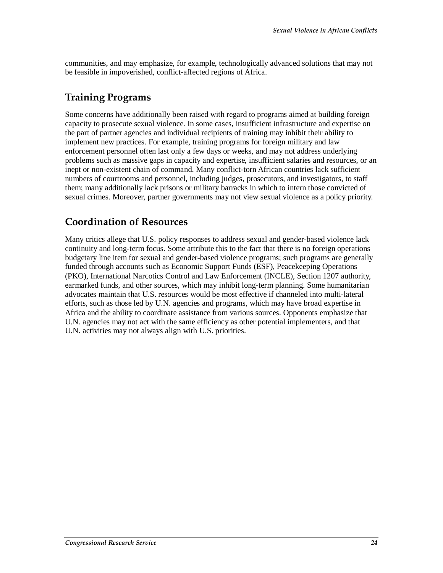communities, and may emphasize, for example, technologically advanced solutions that may not be feasible in impoverished, conflict-affected regions of Africa.

### **Training Programs**

Some concerns have additionally been raised with regard to programs aimed at building foreign capacity to prosecute sexual violence. In some cases, insufficient infrastructure and expertise on the part of partner agencies and individual recipients of training may inhibit their ability to implement new practices. For example, training programs for foreign military and law enforcement personnel often last only a few days or weeks, and may not address underlying problems such as massive gaps in capacity and expertise, insufficient salaries and resources, or an inept or non-existent chain of command. Many conflict-torn African countries lack sufficient numbers of courtrooms and personnel, including judges, prosecutors, and investigators, to staff them; many additionally lack prisons or military barracks in which to intern those convicted of sexual crimes. Moreover, partner governments may not view sexual violence as a policy priority.

### **Coordination of Resources**

Many critics allege that U.S. policy responses to address sexual and gender-based violence lack continuity and long-term focus. Some attribute this to the fact that there is no foreign operations budgetary line item for sexual and gender-based violence programs; such programs are generally funded through accounts such as Economic Support Funds (ESF), Peacekeeping Operations (PKO), International Narcotics Control and Law Enforcement (INCLE), Section 1207 authority, earmarked funds, and other sources, which may inhibit long-term planning. Some humanitarian advocates maintain that U.S. resources would be most effective if channeled into multi-lateral efforts, such as those led by U.N. agencies and programs, which may have broad expertise in Africa and the ability to coordinate assistance from various sources. Opponents emphasize that U.N. agencies may not act with the same efficiency as other potential implementers, and that U.N. activities may not always align with U.S. priorities.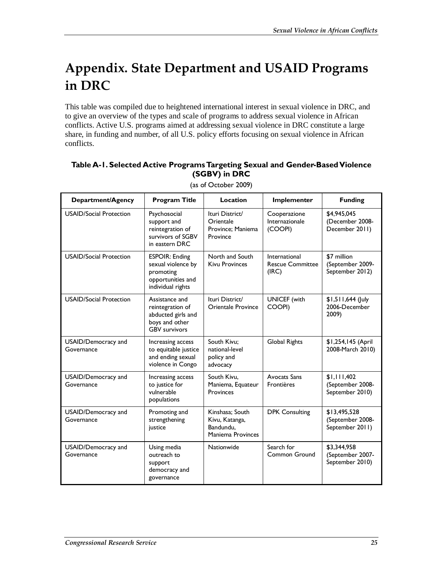# **Appendix. State Department and USAID Programs in DRC**

This table was compiled due to heightened international interest in sexual violence in DRC, and to give an overview of the types and scale of programs to address sexual violence in African conflicts. Active U.S. programs aimed at addressing sexual violence in DRC constitute a large share, in funding and number, of all U.S. policy efforts focusing on sexual violence in African conflicts.

#### **Table A-1. Selected Active Programs Targeting Sexual and Gender-Based Violence (SGBV) in DRC**

| Department/Agency                 | <b>Program Title</b>                                                                               | Location                                                            | Implementer                                       | <b>Funding</b>                                      |
|-----------------------------------|----------------------------------------------------------------------------------------------------|---------------------------------------------------------------------|---------------------------------------------------|-----------------------------------------------------|
| <b>USAID/Social Protection</b>    | Psychosocial<br>support and<br>reintegration of<br>survivors of SGBV<br>in eastern DRC             | Ituri District/<br>Orientale<br>Province; Maniema<br>Province       | Cooperazione<br>Internazionale<br>(COOPI)         | \$4,945,045<br>(December 2008-<br>December 2011)    |
| <b>USAID/Social Protection</b>    | <b>ESPOIR: Ending</b><br>sexual violence by<br>promoting<br>opportunities and<br>individual rights | North and South<br><b>Kivu Provinces</b>                            | International<br><b>Rescue Committee</b><br>(IRC) | \$7 million<br>(September 2009-<br>September 2012)  |
| <b>USAID/Social Protection</b>    | Assistance and<br>reintegration of<br>abducted girls and<br>boys and other<br><b>GBV survivors</b> | Ituri District/<br>Orientale Province                               | <b>UNICEF</b> (with<br>COOPI)                     | $$1,511,644$ (July<br>2006-December<br>2009)        |
| USAID/Democracy and<br>Governance | Increasing access<br>to equitable justice<br>and ending sexual<br>violence in Congo                | South Kivu;<br>national-level<br>policy and<br>advocacy             | Global Rights                                     | \$1,254,145 (April<br>2008-March 2010)              |
| USAID/Democracy and<br>Governance | Increasing access<br>to justice for<br>vulnerable<br>populations                                   | South Kivu,<br>Maniema, Equateur<br>Provinces                       | <b>Avocats Sans</b><br>Frontières                 | \$1,111,402<br>(September 2008-<br>September 2010)  |
| USAID/Democracy and<br>Governance | Promoting and<br>strengthening<br>justice                                                          | Kinshasa: South<br>Kivu, Katanga,<br>Bandundu.<br>Maniema Provinces | <b>DPK Consulting</b>                             | \$13,495,528<br>(September 2008-<br>September 2011) |
| USAID/Democracy and<br>Governance | Using media<br>outreach to<br>support<br>democracy and<br>governance                               | Nationwide                                                          | Search for<br>Common Ground                       | \$3,344,958<br>(September 2007-<br>September 2010)  |

(as of October 2009)

ī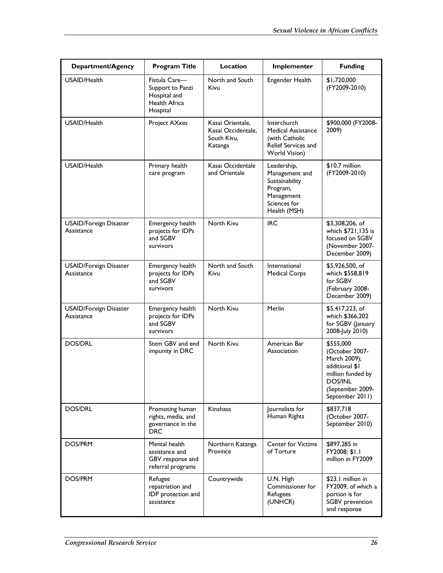| Department/Agency                           | <b>Program Title</b>                                                           | Location                                                         | Implementer                                                                                               | <b>Funding</b>                                                                                                                              |
|---------------------------------------------|--------------------------------------------------------------------------------|------------------------------------------------------------------|-----------------------------------------------------------------------------------------------------------|---------------------------------------------------------------------------------------------------------------------------------------------|
| USAID/Health                                | Fistula Care-<br>Support to Panzi<br>Hospital and<br>Health Africa<br>Hospital | North and South<br>Kivu                                          | Engender Health                                                                                           | \$1,720,000<br>(FY2009-2010)                                                                                                                |
| USAID/Health                                | Project AXxes                                                                  | Kasai Orientale,<br>Kasai Occidentale.<br>South Kivu.<br>Katanga | <b>Interchurch</b><br>Medical Assistance<br>(with Catholic<br>Relief Services and<br>World Vision)        | \$900,000 (FY2008-<br>2009)                                                                                                                 |
| USAID/Health                                | Primary health<br>care program                                                 | Kasai Occidentale<br>and Orientale                               | Leadership,<br>Management and<br>Sustainability<br>Program,<br>Management<br>Sciences for<br>Health (MSH) | $$10.7$ million<br>(FY2009-2010)                                                                                                            |
| USAID/Foreign Disaster<br>Assistance        | Emergency health<br>projects for IDPs<br>and SGBV<br>survivors                 | North Kivu                                                       | <b>IRC</b>                                                                                                | \$3,308,206, of<br>which \$721,135 is<br>focused on SGBV<br>(November 2007-<br>December 2009)                                               |
| <b>USAID/Foreign Disaster</b><br>Assistance | Emergency health<br>projects for IDPs<br>and SGBV<br>survivors                 | North and South<br>Kivu                                          | International<br>Medical Corps                                                                            | \$5,926,500, of<br>which \$558,819<br>for SGBV<br>(February 2008-<br>December 2009)                                                         |
| <b>USAID/Foreign Disaster</b><br>Assistance | Emergency health<br>projects for IDPs<br>and SGBV<br>survivors                 | North Kivu                                                       | Merlin                                                                                                    | \$5,417,223, of<br>which \$366,202<br>for SGBV (January<br>2008-July 2010)                                                                  |
| <b>DOS/DRL</b>                              | Stem GBV and end<br>impunity in DRC                                            | North Kivu                                                       | American Bar<br>Association                                                                               | \$555,000<br>(October 2007-<br>March 2009);<br>additional \$1<br>million funded by<br><b>DOS/INL</b><br>(September 2009-<br>September 2011) |
| <b>DOS/DRL</b>                              | Promoting human<br>rights, media, and<br>governance in the<br><b>DRC</b>       | Kinshasa                                                         | Journalists for<br>Human Rights                                                                           | \$837,718<br>(October 2007-<br>September 2010)                                                                                              |
| DOS/PRM                                     | Mental health<br>assistance and<br>GBV response and<br>referral programs       | Northern Katanga<br>Province                                     | <b>Center for Victims</b><br>of Torture                                                                   | \$897,285 in<br>FY2008; \$1.1<br>million in FY2009                                                                                          |
| DOS/PRM                                     | Refugee<br>repatriation and<br>IDP protection and<br>assistance                | Countrywide                                                      | U.N. High<br>Commissioner for<br>Refugees<br>(UNHCR)                                                      | \$23.1 million in<br>FY2009, of which a<br>portion is for<br>SGBV prevention<br>and response                                                |